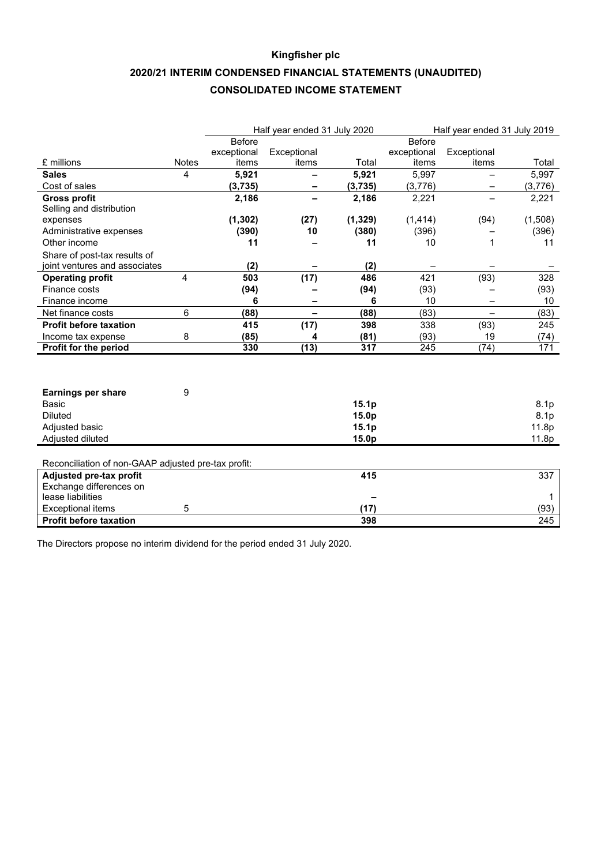# **Kingfisher plc 2020/21 INTERIM CONDENSED FINANCIAL STATEMENTS (UNAUDITED) CONSOLIDATED INCOME STATEMENT**

|                                                     |                |               | Half year ended 31 July 2020 |                   |               | Half year ended 31 July 2019 |         |
|-----------------------------------------------------|----------------|---------------|------------------------------|-------------------|---------------|------------------------------|---------|
|                                                     |                | <b>Before</b> |                              |                   | <b>Before</b> |                              |         |
|                                                     |                | exceptional   | Exceptional                  |                   | exceptional   | Exceptional                  |         |
| £ millions                                          | <b>Notes</b>   | items         | items                        | Total             | items         | items                        | Total   |
| <b>Sales</b>                                        | 4              | 5,921         |                              | 5,921             | 5,997         |                              | 5,997   |
| Cost of sales                                       |                | (3,735)       |                              | (3,735)           | (3,776)       | —                            | (3,776) |
| <b>Gross profit</b>                                 |                | 2,186         |                              | 2,186             | 2,221         |                              | 2,221   |
| Selling and distribution                            |                |               |                              |                   |               |                              |         |
| expenses                                            |                | (1, 302)      | (27)                         | (1, 329)          | (1, 414)      | (94)                         | (1,508) |
| Administrative expenses                             |                | (390)         | 10                           | (380)             | (396)         |                              | (396)   |
| Other income                                        |                | 11            |                              | 11                | 10            | 1                            | 11      |
| Share of post-tax results of                        |                |               |                              |                   |               |                              |         |
| joint ventures and associates                       |                | (2)           |                              | (2)               |               |                              |         |
| <b>Operating profit</b>                             | $\overline{4}$ | 503           | (17)                         | 486               | 421           | (93)                         | 328     |
| Finance costs                                       |                | (94)          |                              | (94)              | (93)          |                              | (93)    |
| Finance income                                      |                | 6             |                              | 6                 | 10            | $\overline{\phantom{0}}$     | 10      |
| Net finance costs                                   | 6              | (88)          |                              | (88)              | (83)          |                              | (83)    |
| <b>Profit before taxation</b>                       |                | 415           | (17)                         | 398               | 338           | (93)                         | 245     |
| Income tax expense                                  | 8              | (85)          | 4                            | (81)              | (93)          | 19                           | (74)    |
| Profit for the period                               |                | 330           | (13)                         | 317               | 245           | (74)                         | 171     |
|                                                     |                |               |                              |                   |               |                              |         |
|                                                     |                |               |                              |                   |               |                              |         |
|                                                     |                |               |                              |                   |               |                              |         |
| <b>Earnings per share</b>                           | 9              |               |                              |                   |               |                              |         |
| Basic                                               |                |               |                              | 15.1 <sub>p</sub> |               |                              | 8.1p    |
| <b>Diluted</b>                                      |                |               |                              | 15.0p             |               |                              | 8.1p    |
| Adjusted basic                                      |                |               |                              | 15.1 <sub>p</sub> |               |                              | 11.8p   |
| Adjusted diluted                                    |                |               |                              | 15.0p             |               |                              | 11.8p   |
|                                                     |                |               |                              |                   |               |                              |         |
| Reconciliation of non-GAAP adjusted pre-tax profit: |                |               |                              |                   |               |                              |         |
| Adjusted pre-tax profit                             |                |               |                              | 415               |               |                              | 337     |
| Exchange differences on                             |                |               |                              |                   |               |                              |         |
| lease liabilities                                   |                |               |                              |                   |               |                              | 1       |
| <b>Exceptional items</b>                            | 5              |               |                              | (17)              |               |                              | (93)    |
| <b>Profit before taxation</b>                       |                |               |                              | 398               |               |                              | 245     |

The Directors propose no interim dividend for the period ended 31 July 2020.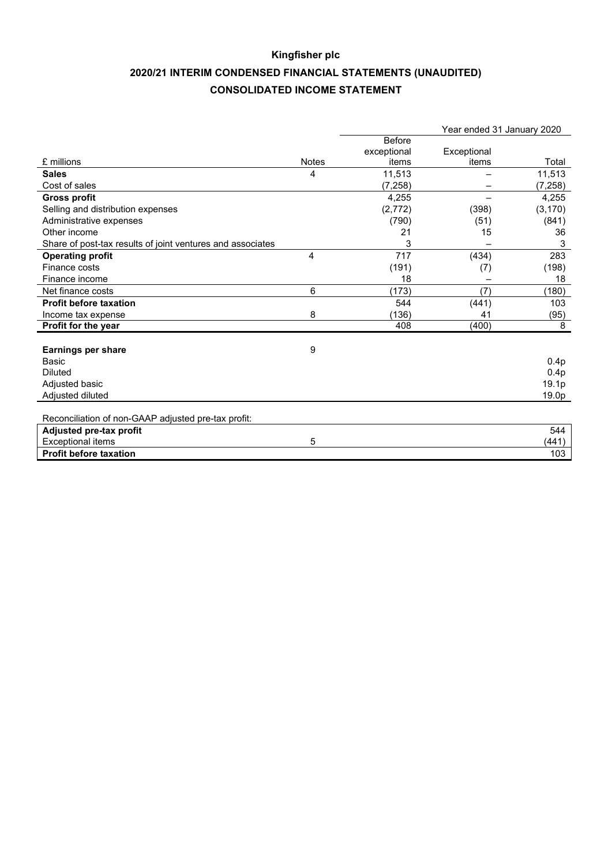# **Kingfisher plc 2020/21 INTERIM CONDENSED FINANCIAL STATEMENTS (UNAUDITED) CONSOLIDATED INCOME STATEMENT**

|                                                            |              |               | Year ended 31 January 2020 |          |
|------------------------------------------------------------|--------------|---------------|----------------------------|----------|
|                                                            |              | <b>Before</b> |                            |          |
|                                                            |              | exceptional   | Exceptional                |          |
| £ millions                                                 | <b>Notes</b> | items         | items                      | Total    |
| <b>Sales</b>                                               | 4            | 11,513        |                            | 11,513   |
| Cost of sales                                              |              | (7,258)       |                            | (7, 258) |
| <b>Gross profit</b>                                        |              | 4.255         |                            | 4.255    |
| Selling and distribution expenses                          |              | (2, 772)      | (398)                      | (3, 170) |
| Administrative expenses                                    |              | (790)         | (51)                       | (841)    |
| Other income                                               |              | 21            | 15                         | 36       |
| Share of post-tax results of joint ventures and associates |              | 3             |                            | 3        |
| <b>Operating profit</b>                                    | 4            | 717           | (434)                      | 283      |
| Finance costs                                              |              | (191)         | (7)                        | (198)    |
| Finance income                                             |              | 18            |                            | 18       |
| Net finance costs                                          | 6            | (173)         | (7)                        | (180)    |
| <b>Profit before taxation</b>                              |              | 544           | (441)                      | 103      |
| Income tax expense                                         | 8            | (136)         | 41                         | (95)     |
| Profit for the year                                        |              | 408           | (400)                      | 8        |
|                                                            |              |               |                            |          |
| <b>Earnings per share</b>                                  | 9            |               |                            |          |
| <b>Basic</b>                                               |              |               |                            | 0.4p     |
| <b>Diluted</b>                                             |              |               |                            | 0.4p     |
| Adjusted basic                                             |              |               |                            | 19.1p    |
| Adjusted diluted                                           |              |               |                            | 19.0p    |
|                                                            |              |               |                            |          |
| Reconciliation of non-GAAP adjusted pre-tax profit:        |              |               |                            |          |
| Adjusted pre-tax profit                                    |              |               |                            | 544      |
| <b>Exceptional items</b>                                   | 5            |               |                            | (441)    |
| <b>Profit before taxation</b>                              |              |               |                            | 103      |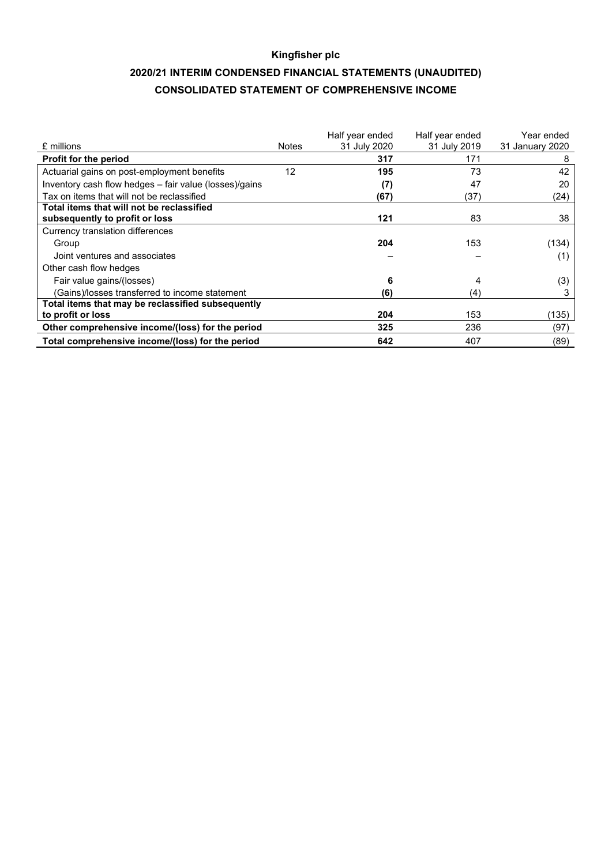# **Kingfisher plc 2020/21 INTERIM CONDENSED FINANCIAL STATEMENTS (UNAUDITED) CONSOLIDATED STATEMENT OF COMPREHENSIVE INCOME**

| £ millions                                             | <b>Notes</b> | Half year ended<br>31 July 2020 | Half year ended<br>31 July 2019 | Year ended<br>31 January 2020 |
|--------------------------------------------------------|--------------|---------------------------------|---------------------------------|-------------------------------|
| <b>Profit for the period</b>                           |              | 317                             | 171                             | 8                             |
| Actuarial gains on post-employment benefits            | 12           | 195                             | 73                              | 42                            |
| Inventory cash flow hedges - fair value (losses)/gains |              | (7)                             | 47                              | 20                            |
| Tax on items that will not be reclassified             |              | (67)                            | (37)                            | (24)                          |
| Total items that will not be reclassified              |              |                                 |                                 |                               |
| subsequently to profit or loss                         |              | 121                             | 83                              | 38                            |
| Currency translation differences                       |              |                                 |                                 |                               |
| Group                                                  |              | 204                             | 153                             | (134)                         |
| Joint ventures and associates                          |              |                                 |                                 | (1)                           |
| Other cash flow hedges                                 |              |                                 |                                 |                               |
| Fair value gains/(losses)                              |              | 6                               | 4                               | (3)                           |
| (Gains)/losses transferred to income statement         |              | (6)                             | (4)                             | 3                             |
| Total items that may be reclassified subsequently      |              |                                 |                                 |                               |
| to profit or loss                                      |              | 204                             | 153                             | (135)                         |
| Other comprehensive income/(loss) for the period       |              | 325                             | 236                             | (97)                          |
| Total comprehensive income/(loss) for the period       |              | 642                             | 407                             | (89)                          |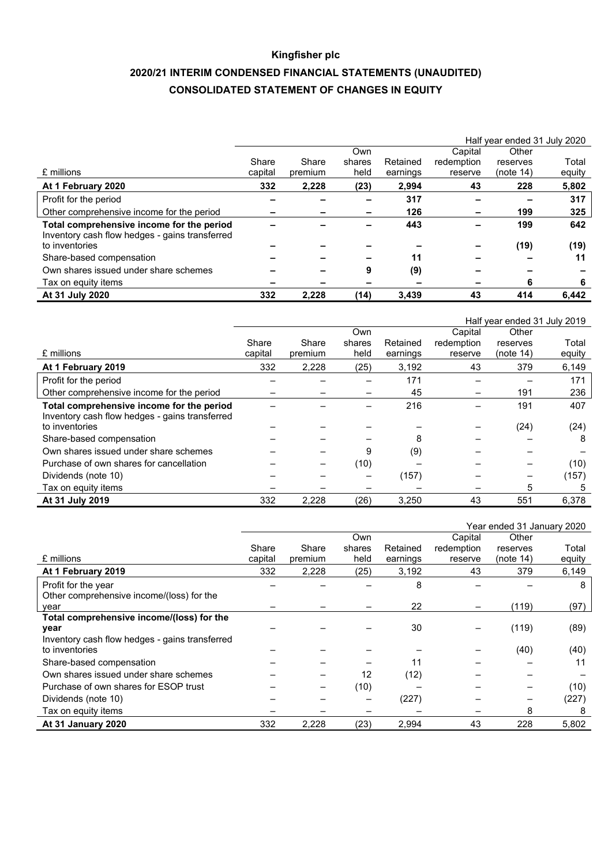# **Kingfisher plc 2020/21 INTERIM CONDENSED FINANCIAL STATEMENTS (UNAUDITED) CONSOLIDATED STATEMENT OF CHANGES IN EQUITY**

|                                                                                             | Half year ended 31 July 2020 |         |        |          |            |           |        |
|---------------------------------------------------------------------------------------------|------------------------------|---------|--------|----------|------------|-----------|--------|
|                                                                                             |                              |         | Own    |          | Capital    | Other     |        |
|                                                                                             | Share                        | Share   | shares | Retained | redemption | reserves  | Total  |
| £ millions                                                                                  | capital                      | premium | held   | earnings | reserve    | (note 14) | equity |
| At 1 February 2020                                                                          | 332                          | 2,228   | (23)   | 2.994    | 43         | 228       | 5,802  |
| Profit for the period                                                                       |                              |         |        | 317      |            |           | 317    |
| Other comprehensive income for the period                                                   |                              |         |        | 126      |            | 199       | 325    |
| Total comprehensive income for the period<br>Inventory cash flow hedges - gains transferred |                              |         |        | 443      |            | 199       | 642    |
| to inventories                                                                              |                              |         |        |          |            | (19)      | (19)   |
| Share-based compensation                                                                    |                              |         |        | 11       |            |           | 11     |
| Own shares issued under share schemes                                                       |                              |         | 9      | (9)      |            |           |        |
| Tax on equity items                                                                         |                              |         |        |          |            | 6         | 6      |
| At 31 July 2020                                                                             | 332                          | 2,228   | (14)   | 3,439    | 43         | 414       | 6,442  |

|                                                |         |         |        |          |            | Half year ended 31 July 2019 |        |
|------------------------------------------------|---------|---------|--------|----------|------------|------------------------------|--------|
|                                                |         |         | Own    |          | Capital    | Other                        |        |
|                                                | Share   | Share   | shares | Retained | redemption | reserves                     | Total  |
| £ millions                                     | capital | premium | held   | earnings | reserve    | (note 14)                    | equity |
| At 1 February 2019                             | 332     | 2,228   | (25)   | 3,192    | 43         | 379                          | 6,149  |
| Profit for the period                          |         |         |        | 171      |            |                              | 171    |
| Other comprehensive income for the period      |         |         |        | 45       |            | 191                          | 236    |
| Total comprehensive income for the period      |         |         |        | 216      |            | 191                          | 407    |
| Inventory cash flow hedges - gains transferred |         |         |        |          |            |                              |        |
| to inventories                                 |         |         |        |          |            | (24)                         | (24)   |
| Share-based compensation                       |         |         |        | 8        |            |                              | 8      |
| Own shares issued under share schemes          |         |         | 9      | (9)      |            |                              |        |
| Purchase of own shares for cancellation        |         |         | (10)   |          |            |                              | (10)   |
| Dividends (note 10)                            |         |         |        | (157)    |            |                              | (157)  |
| Tax on equity items                            |         |         |        |          |            | 5                            | 5      |
| At 31 July 2019                                | 332     | 2,228   | (26)   | 3,250    | 43         | 551                          | 6.378  |

|                                                |         |         |        |          |            | Year ended 31 January 2020 |        |
|------------------------------------------------|---------|---------|--------|----------|------------|----------------------------|--------|
|                                                |         |         | Own    |          | Capital    | Other                      |        |
|                                                | Share   | Share   | shares | Retained | redemption | reserves                   | Total  |
| £ millions                                     | capital | premium | held   | earnings | reserve    | (note 14)                  | equity |
| At 1 February 2019                             | 332     | 2,228   | (25)   | 3,192    | 43         | 379                        | 6,149  |
| Profit for the year                            |         |         |        | 8        |            |                            | 8      |
| Other comprehensive income/(loss) for the      |         |         |        |          |            |                            |        |
| vear                                           |         |         |        | 22       |            | (119)                      | (97)   |
| Total comprehensive income/(loss) for the      |         |         |        |          |            |                            |        |
| year                                           |         |         |        | 30       |            | (119)                      | (89)   |
| Inventory cash flow hedges - gains transferred |         |         |        |          |            |                            |        |
| to inventories                                 |         |         |        |          |            | (40)                       | (40)   |
| Share-based compensation                       |         |         |        | 11       |            |                            | 11     |
| Own shares issued under share schemes          |         |         | 12     | (12)     |            |                            |        |
| Purchase of own shares for ESOP trust          |         | -       | (10)   |          |            |                            | (10)   |
| Dividends (note 10)                            |         |         |        | (227)    |            |                            | (227)  |
| Tax on equity items                            |         |         |        |          |            | 8                          | 8      |
| At 31 January 2020                             | 332     | 2,228   | (23)   | 2,994    | 43         | 228                        | 5,802  |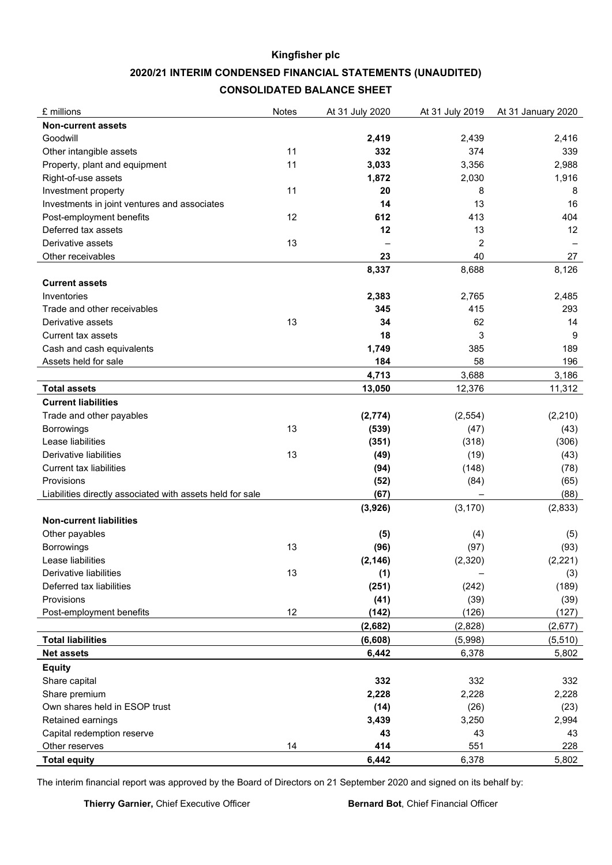# **Kingfisher plc 2020/21 INTERIM CONDENSED FINANCIAL STATEMENTS (UNAUDITED) CONSOLIDATED BALANCE SHEET**

| <b>Non-current assets</b><br>Goodwill<br>2,419<br>2,439<br>2,416<br>332<br>374<br>Other intangible assets<br>11<br>339<br>11<br>3,033<br>Property, plant and equipment<br>3,356<br>2,988<br>1,916<br>Right-of-use assets<br>1,872<br>2,030<br>Investment property<br>11<br>20<br>8<br>8<br>14<br>Investments in joint ventures and associates<br>13<br>16<br>Post-employment benefits<br>12<br>612<br>413<br>404<br>Deferred tax assets<br>12<br>12<br>13<br>Derivative assets<br>13<br>2<br>23<br>40<br>Other receivables<br>27<br>8,337<br>8,688<br>8,126<br><b>Current assets</b><br>Inventories<br>2,383<br>2,765<br>2,485<br>415<br>Trade and other receivables<br>345<br>293<br>13<br>34<br>Derivative assets<br>62<br>14<br>18<br>3<br>9<br><b>Current tax assets</b><br>Cash and cash equivalents<br>1,749<br>385<br>189<br>Assets held for sale<br>184<br>58<br>196<br>4,713<br>3,688<br>3,186<br><b>Total assets</b><br>13,050<br>12,376<br>11,312<br><b>Current liabilities</b><br>Trade and other payables<br>(2,774)<br>(2, 554)<br>(2, 210)<br>13<br>(539)<br>(47)<br>Borrowings<br>(43)<br>Lease liabilities<br>(351)<br>(318)<br>(306)<br>13<br>Derivative liabilities<br>(19)<br>(49)<br>(43)<br><b>Current tax liabilities</b><br>(94)<br>(148)<br>(78)<br>Provisions<br>(52)<br>(84)<br>(65)<br>Liabilities directly associated with assets held for sale<br>(67)<br>(88)<br>(3, 170)<br>(3,926)<br>(2,833)<br><b>Non-current liabilities</b><br>Other payables<br>(5)<br>(4)<br>(5)<br>13<br><b>Borrowings</b><br>(96)<br>(97)<br>(93)<br>(2, 146)<br>(2,320)<br>(2, 221)<br>Lease liabilities<br>13<br>(1)<br>Derivative liabilities<br>(3)<br>Deferred tax liabilities<br>(251)<br>(242)<br>(189)<br>Provisions<br>(41)<br>(39)<br>(39)<br>12<br>(142)<br>(126)<br>(127)<br>Post-employment benefits<br>(2,682)<br>(2,677)<br>(2,828)<br>(6, 608)<br>(5,998)<br>(5, 510)<br><b>Total liabilities</b><br><b>Net assets</b><br>6,442<br>6,378<br>5,802<br><b>Equity</b><br>Share capital<br>332<br>332<br>332<br>Share premium<br>2,228<br>2,228<br>2,228<br>Own shares held in ESOP trust<br>(14)<br>(26)<br>(23)<br>Retained earnings<br>3,439<br>3,250<br>2,994<br>Capital redemption reserve<br>43<br>43<br>43<br>414<br>551<br>14<br>228<br>Other reserves<br><b>Total equity</b><br>6,442<br>6,378<br>5,802 | £ millions | <b>Notes</b> | At 31 July 2020 | At 31 July 2019 | At 31 January 2020 |
|---------------------------------------------------------------------------------------------------------------------------------------------------------------------------------------------------------------------------------------------------------------------------------------------------------------------------------------------------------------------------------------------------------------------------------------------------------------------------------------------------------------------------------------------------------------------------------------------------------------------------------------------------------------------------------------------------------------------------------------------------------------------------------------------------------------------------------------------------------------------------------------------------------------------------------------------------------------------------------------------------------------------------------------------------------------------------------------------------------------------------------------------------------------------------------------------------------------------------------------------------------------------------------------------------------------------------------------------------------------------------------------------------------------------------------------------------------------------------------------------------------------------------------------------------------------------------------------------------------------------------------------------------------------------------------------------------------------------------------------------------------------------------------------------------------------------------------------------------------------------------------------------------------------------------------------------------------------------------------------------------------------------------------------------------------------------------------------------------------------------------------------------------------------------------------------------------------------------------------------------------------------------------------------------------------------------------------------|------------|--------------|-----------------|-----------------|--------------------|
|                                                                                                                                                                                                                                                                                                                                                                                                                                                                                                                                                                                                                                                                                                                                                                                                                                                                                                                                                                                                                                                                                                                                                                                                                                                                                                                                                                                                                                                                                                                                                                                                                                                                                                                                                                                                                                                                                                                                                                                                                                                                                                                                                                                                                                                                                                                                       |            |              |                 |                 |                    |
|                                                                                                                                                                                                                                                                                                                                                                                                                                                                                                                                                                                                                                                                                                                                                                                                                                                                                                                                                                                                                                                                                                                                                                                                                                                                                                                                                                                                                                                                                                                                                                                                                                                                                                                                                                                                                                                                                                                                                                                                                                                                                                                                                                                                                                                                                                                                       |            |              |                 |                 |                    |
|                                                                                                                                                                                                                                                                                                                                                                                                                                                                                                                                                                                                                                                                                                                                                                                                                                                                                                                                                                                                                                                                                                                                                                                                                                                                                                                                                                                                                                                                                                                                                                                                                                                                                                                                                                                                                                                                                                                                                                                                                                                                                                                                                                                                                                                                                                                                       |            |              |                 |                 |                    |
|                                                                                                                                                                                                                                                                                                                                                                                                                                                                                                                                                                                                                                                                                                                                                                                                                                                                                                                                                                                                                                                                                                                                                                                                                                                                                                                                                                                                                                                                                                                                                                                                                                                                                                                                                                                                                                                                                                                                                                                                                                                                                                                                                                                                                                                                                                                                       |            |              |                 |                 |                    |
|                                                                                                                                                                                                                                                                                                                                                                                                                                                                                                                                                                                                                                                                                                                                                                                                                                                                                                                                                                                                                                                                                                                                                                                                                                                                                                                                                                                                                                                                                                                                                                                                                                                                                                                                                                                                                                                                                                                                                                                                                                                                                                                                                                                                                                                                                                                                       |            |              |                 |                 |                    |
|                                                                                                                                                                                                                                                                                                                                                                                                                                                                                                                                                                                                                                                                                                                                                                                                                                                                                                                                                                                                                                                                                                                                                                                                                                                                                                                                                                                                                                                                                                                                                                                                                                                                                                                                                                                                                                                                                                                                                                                                                                                                                                                                                                                                                                                                                                                                       |            |              |                 |                 |                    |
|                                                                                                                                                                                                                                                                                                                                                                                                                                                                                                                                                                                                                                                                                                                                                                                                                                                                                                                                                                                                                                                                                                                                                                                                                                                                                                                                                                                                                                                                                                                                                                                                                                                                                                                                                                                                                                                                                                                                                                                                                                                                                                                                                                                                                                                                                                                                       |            |              |                 |                 |                    |
|                                                                                                                                                                                                                                                                                                                                                                                                                                                                                                                                                                                                                                                                                                                                                                                                                                                                                                                                                                                                                                                                                                                                                                                                                                                                                                                                                                                                                                                                                                                                                                                                                                                                                                                                                                                                                                                                                                                                                                                                                                                                                                                                                                                                                                                                                                                                       |            |              |                 |                 |                    |
|                                                                                                                                                                                                                                                                                                                                                                                                                                                                                                                                                                                                                                                                                                                                                                                                                                                                                                                                                                                                                                                                                                                                                                                                                                                                                                                                                                                                                                                                                                                                                                                                                                                                                                                                                                                                                                                                                                                                                                                                                                                                                                                                                                                                                                                                                                                                       |            |              |                 |                 |                    |
|                                                                                                                                                                                                                                                                                                                                                                                                                                                                                                                                                                                                                                                                                                                                                                                                                                                                                                                                                                                                                                                                                                                                                                                                                                                                                                                                                                                                                                                                                                                                                                                                                                                                                                                                                                                                                                                                                                                                                                                                                                                                                                                                                                                                                                                                                                                                       |            |              |                 |                 |                    |
|                                                                                                                                                                                                                                                                                                                                                                                                                                                                                                                                                                                                                                                                                                                                                                                                                                                                                                                                                                                                                                                                                                                                                                                                                                                                                                                                                                                                                                                                                                                                                                                                                                                                                                                                                                                                                                                                                                                                                                                                                                                                                                                                                                                                                                                                                                                                       |            |              |                 |                 |                    |
|                                                                                                                                                                                                                                                                                                                                                                                                                                                                                                                                                                                                                                                                                                                                                                                                                                                                                                                                                                                                                                                                                                                                                                                                                                                                                                                                                                                                                                                                                                                                                                                                                                                                                                                                                                                                                                                                                                                                                                                                                                                                                                                                                                                                                                                                                                                                       |            |              |                 |                 |                    |
|                                                                                                                                                                                                                                                                                                                                                                                                                                                                                                                                                                                                                                                                                                                                                                                                                                                                                                                                                                                                                                                                                                                                                                                                                                                                                                                                                                                                                                                                                                                                                                                                                                                                                                                                                                                                                                                                                                                                                                                                                                                                                                                                                                                                                                                                                                                                       |            |              |                 |                 |                    |
|                                                                                                                                                                                                                                                                                                                                                                                                                                                                                                                                                                                                                                                                                                                                                                                                                                                                                                                                                                                                                                                                                                                                                                                                                                                                                                                                                                                                                                                                                                                                                                                                                                                                                                                                                                                                                                                                                                                                                                                                                                                                                                                                                                                                                                                                                                                                       |            |              |                 |                 |                    |
|                                                                                                                                                                                                                                                                                                                                                                                                                                                                                                                                                                                                                                                                                                                                                                                                                                                                                                                                                                                                                                                                                                                                                                                                                                                                                                                                                                                                                                                                                                                                                                                                                                                                                                                                                                                                                                                                                                                                                                                                                                                                                                                                                                                                                                                                                                                                       |            |              |                 |                 |                    |
|                                                                                                                                                                                                                                                                                                                                                                                                                                                                                                                                                                                                                                                                                                                                                                                                                                                                                                                                                                                                                                                                                                                                                                                                                                                                                                                                                                                                                                                                                                                                                                                                                                                                                                                                                                                                                                                                                                                                                                                                                                                                                                                                                                                                                                                                                                                                       |            |              |                 |                 |                    |
|                                                                                                                                                                                                                                                                                                                                                                                                                                                                                                                                                                                                                                                                                                                                                                                                                                                                                                                                                                                                                                                                                                                                                                                                                                                                                                                                                                                                                                                                                                                                                                                                                                                                                                                                                                                                                                                                                                                                                                                                                                                                                                                                                                                                                                                                                                                                       |            |              |                 |                 |                    |
|                                                                                                                                                                                                                                                                                                                                                                                                                                                                                                                                                                                                                                                                                                                                                                                                                                                                                                                                                                                                                                                                                                                                                                                                                                                                                                                                                                                                                                                                                                                                                                                                                                                                                                                                                                                                                                                                                                                                                                                                                                                                                                                                                                                                                                                                                                                                       |            |              |                 |                 |                    |
|                                                                                                                                                                                                                                                                                                                                                                                                                                                                                                                                                                                                                                                                                                                                                                                                                                                                                                                                                                                                                                                                                                                                                                                                                                                                                                                                                                                                                                                                                                                                                                                                                                                                                                                                                                                                                                                                                                                                                                                                                                                                                                                                                                                                                                                                                                                                       |            |              |                 |                 |                    |
|                                                                                                                                                                                                                                                                                                                                                                                                                                                                                                                                                                                                                                                                                                                                                                                                                                                                                                                                                                                                                                                                                                                                                                                                                                                                                                                                                                                                                                                                                                                                                                                                                                                                                                                                                                                                                                                                                                                                                                                                                                                                                                                                                                                                                                                                                                                                       |            |              |                 |                 |                    |
|                                                                                                                                                                                                                                                                                                                                                                                                                                                                                                                                                                                                                                                                                                                                                                                                                                                                                                                                                                                                                                                                                                                                                                                                                                                                                                                                                                                                                                                                                                                                                                                                                                                                                                                                                                                                                                                                                                                                                                                                                                                                                                                                                                                                                                                                                                                                       |            |              |                 |                 |                    |
|                                                                                                                                                                                                                                                                                                                                                                                                                                                                                                                                                                                                                                                                                                                                                                                                                                                                                                                                                                                                                                                                                                                                                                                                                                                                                                                                                                                                                                                                                                                                                                                                                                                                                                                                                                                                                                                                                                                                                                                                                                                                                                                                                                                                                                                                                                                                       |            |              |                 |                 |                    |
|                                                                                                                                                                                                                                                                                                                                                                                                                                                                                                                                                                                                                                                                                                                                                                                                                                                                                                                                                                                                                                                                                                                                                                                                                                                                                                                                                                                                                                                                                                                                                                                                                                                                                                                                                                                                                                                                                                                                                                                                                                                                                                                                                                                                                                                                                                                                       |            |              |                 |                 |                    |
|                                                                                                                                                                                                                                                                                                                                                                                                                                                                                                                                                                                                                                                                                                                                                                                                                                                                                                                                                                                                                                                                                                                                                                                                                                                                                                                                                                                                                                                                                                                                                                                                                                                                                                                                                                                                                                                                                                                                                                                                                                                                                                                                                                                                                                                                                                                                       |            |              |                 |                 |                    |
|                                                                                                                                                                                                                                                                                                                                                                                                                                                                                                                                                                                                                                                                                                                                                                                                                                                                                                                                                                                                                                                                                                                                                                                                                                                                                                                                                                                                                                                                                                                                                                                                                                                                                                                                                                                                                                                                                                                                                                                                                                                                                                                                                                                                                                                                                                                                       |            |              |                 |                 |                    |
|                                                                                                                                                                                                                                                                                                                                                                                                                                                                                                                                                                                                                                                                                                                                                                                                                                                                                                                                                                                                                                                                                                                                                                                                                                                                                                                                                                                                                                                                                                                                                                                                                                                                                                                                                                                                                                                                                                                                                                                                                                                                                                                                                                                                                                                                                                                                       |            |              |                 |                 |                    |
|                                                                                                                                                                                                                                                                                                                                                                                                                                                                                                                                                                                                                                                                                                                                                                                                                                                                                                                                                                                                                                                                                                                                                                                                                                                                                                                                                                                                                                                                                                                                                                                                                                                                                                                                                                                                                                                                                                                                                                                                                                                                                                                                                                                                                                                                                                                                       |            |              |                 |                 |                    |
|                                                                                                                                                                                                                                                                                                                                                                                                                                                                                                                                                                                                                                                                                                                                                                                                                                                                                                                                                                                                                                                                                                                                                                                                                                                                                                                                                                                                                                                                                                                                                                                                                                                                                                                                                                                                                                                                                                                                                                                                                                                                                                                                                                                                                                                                                                                                       |            |              |                 |                 |                    |
|                                                                                                                                                                                                                                                                                                                                                                                                                                                                                                                                                                                                                                                                                                                                                                                                                                                                                                                                                                                                                                                                                                                                                                                                                                                                                                                                                                                                                                                                                                                                                                                                                                                                                                                                                                                                                                                                                                                                                                                                                                                                                                                                                                                                                                                                                                                                       |            |              |                 |                 |                    |
|                                                                                                                                                                                                                                                                                                                                                                                                                                                                                                                                                                                                                                                                                                                                                                                                                                                                                                                                                                                                                                                                                                                                                                                                                                                                                                                                                                                                                                                                                                                                                                                                                                                                                                                                                                                                                                                                                                                                                                                                                                                                                                                                                                                                                                                                                                                                       |            |              |                 |                 |                    |
|                                                                                                                                                                                                                                                                                                                                                                                                                                                                                                                                                                                                                                                                                                                                                                                                                                                                                                                                                                                                                                                                                                                                                                                                                                                                                                                                                                                                                                                                                                                                                                                                                                                                                                                                                                                                                                                                                                                                                                                                                                                                                                                                                                                                                                                                                                                                       |            |              |                 |                 |                    |
|                                                                                                                                                                                                                                                                                                                                                                                                                                                                                                                                                                                                                                                                                                                                                                                                                                                                                                                                                                                                                                                                                                                                                                                                                                                                                                                                                                                                                                                                                                                                                                                                                                                                                                                                                                                                                                                                                                                                                                                                                                                                                                                                                                                                                                                                                                                                       |            |              |                 |                 |                    |
|                                                                                                                                                                                                                                                                                                                                                                                                                                                                                                                                                                                                                                                                                                                                                                                                                                                                                                                                                                                                                                                                                                                                                                                                                                                                                                                                                                                                                                                                                                                                                                                                                                                                                                                                                                                                                                                                                                                                                                                                                                                                                                                                                                                                                                                                                                                                       |            |              |                 |                 |                    |
|                                                                                                                                                                                                                                                                                                                                                                                                                                                                                                                                                                                                                                                                                                                                                                                                                                                                                                                                                                                                                                                                                                                                                                                                                                                                                                                                                                                                                                                                                                                                                                                                                                                                                                                                                                                                                                                                                                                                                                                                                                                                                                                                                                                                                                                                                                                                       |            |              |                 |                 |                    |
|                                                                                                                                                                                                                                                                                                                                                                                                                                                                                                                                                                                                                                                                                                                                                                                                                                                                                                                                                                                                                                                                                                                                                                                                                                                                                                                                                                                                                                                                                                                                                                                                                                                                                                                                                                                                                                                                                                                                                                                                                                                                                                                                                                                                                                                                                                                                       |            |              |                 |                 |                    |
|                                                                                                                                                                                                                                                                                                                                                                                                                                                                                                                                                                                                                                                                                                                                                                                                                                                                                                                                                                                                                                                                                                                                                                                                                                                                                                                                                                                                                                                                                                                                                                                                                                                                                                                                                                                                                                                                                                                                                                                                                                                                                                                                                                                                                                                                                                                                       |            |              |                 |                 |                    |
|                                                                                                                                                                                                                                                                                                                                                                                                                                                                                                                                                                                                                                                                                                                                                                                                                                                                                                                                                                                                                                                                                                                                                                                                                                                                                                                                                                                                                                                                                                                                                                                                                                                                                                                                                                                                                                                                                                                                                                                                                                                                                                                                                                                                                                                                                                                                       |            |              |                 |                 |                    |
|                                                                                                                                                                                                                                                                                                                                                                                                                                                                                                                                                                                                                                                                                                                                                                                                                                                                                                                                                                                                                                                                                                                                                                                                                                                                                                                                                                                                                                                                                                                                                                                                                                                                                                                                                                                                                                                                                                                                                                                                                                                                                                                                                                                                                                                                                                                                       |            |              |                 |                 |                    |
|                                                                                                                                                                                                                                                                                                                                                                                                                                                                                                                                                                                                                                                                                                                                                                                                                                                                                                                                                                                                                                                                                                                                                                                                                                                                                                                                                                                                                                                                                                                                                                                                                                                                                                                                                                                                                                                                                                                                                                                                                                                                                                                                                                                                                                                                                                                                       |            |              |                 |                 |                    |
|                                                                                                                                                                                                                                                                                                                                                                                                                                                                                                                                                                                                                                                                                                                                                                                                                                                                                                                                                                                                                                                                                                                                                                                                                                                                                                                                                                                                                                                                                                                                                                                                                                                                                                                                                                                                                                                                                                                                                                                                                                                                                                                                                                                                                                                                                                                                       |            |              |                 |                 |                    |
|                                                                                                                                                                                                                                                                                                                                                                                                                                                                                                                                                                                                                                                                                                                                                                                                                                                                                                                                                                                                                                                                                                                                                                                                                                                                                                                                                                                                                                                                                                                                                                                                                                                                                                                                                                                                                                                                                                                                                                                                                                                                                                                                                                                                                                                                                                                                       |            |              |                 |                 |                    |
|                                                                                                                                                                                                                                                                                                                                                                                                                                                                                                                                                                                                                                                                                                                                                                                                                                                                                                                                                                                                                                                                                                                                                                                                                                                                                                                                                                                                                                                                                                                                                                                                                                                                                                                                                                                                                                                                                                                                                                                                                                                                                                                                                                                                                                                                                                                                       |            |              |                 |                 |                    |
|                                                                                                                                                                                                                                                                                                                                                                                                                                                                                                                                                                                                                                                                                                                                                                                                                                                                                                                                                                                                                                                                                                                                                                                                                                                                                                                                                                                                                                                                                                                                                                                                                                                                                                                                                                                                                                                                                                                                                                                                                                                                                                                                                                                                                                                                                                                                       |            |              |                 |                 |                    |
|                                                                                                                                                                                                                                                                                                                                                                                                                                                                                                                                                                                                                                                                                                                                                                                                                                                                                                                                                                                                                                                                                                                                                                                                                                                                                                                                                                                                                                                                                                                                                                                                                                                                                                                                                                                                                                                                                                                                                                                                                                                                                                                                                                                                                                                                                                                                       |            |              |                 |                 |                    |
|                                                                                                                                                                                                                                                                                                                                                                                                                                                                                                                                                                                                                                                                                                                                                                                                                                                                                                                                                                                                                                                                                                                                                                                                                                                                                                                                                                                                                                                                                                                                                                                                                                                                                                                                                                                                                                                                                                                                                                                                                                                                                                                                                                                                                                                                                                                                       |            |              |                 |                 |                    |
|                                                                                                                                                                                                                                                                                                                                                                                                                                                                                                                                                                                                                                                                                                                                                                                                                                                                                                                                                                                                                                                                                                                                                                                                                                                                                                                                                                                                                                                                                                                                                                                                                                                                                                                                                                                                                                                                                                                                                                                                                                                                                                                                                                                                                                                                                                                                       |            |              |                 |                 |                    |
|                                                                                                                                                                                                                                                                                                                                                                                                                                                                                                                                                                                                                                                                                                                                                                                                                                                                                                                                                                                                                                                                                                                                                                                                                                                                                                                                                                                                                                                                                                                                                                                                                                                                                                                                                                                                                                                                                                                                                                                                                                                                                                                                                                                                                                                                                                                                       |            |              |                 |                 |                    |
|                                                                                                                                                                                                                                                                                                                                                                                                                                                                                                                                                                                                                                                                                                                                                                                                                                                                                                                                                                                                                                                                                                                                                                                                                                                                                                                                                                                                                                                                                                                                                                                                                                                                                                                                                                                                                                                                                                                                                                                                                                                                                                                                                                                                                                                                                                                                       |            |              |                 |                 |                    |
|                                                                                                                                                                                                                                                                                                                                                                                                                                                                                                                                                                                                                                                                                                                                                                                                                                                                                                                                                                                                                                                                                                                                                                                                                                                                                                                                                                                                                                                                                                                                                                                                                                                                                                                                                                                                                                                                                                                                                                                                                                                                                                                                                                                                                                                                                                                                       |            |              |                 |                 |                    |

The interim financial report was approved by the Board of Directors on 21 September 2020 and signed on its behalf by: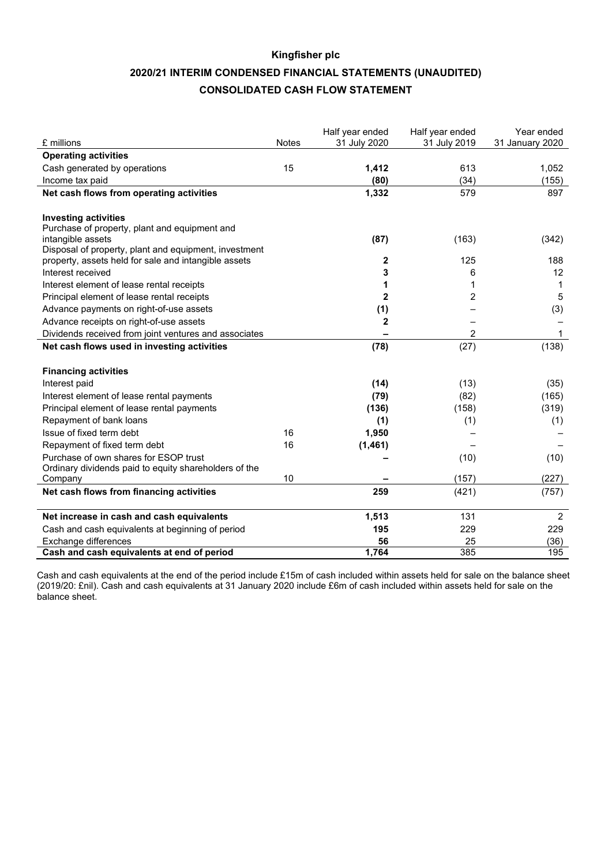# **Kingfisher plc 2020/21 INTERIM CONDENSED FINANCIAL STATEMENTS (UNAUDITED) CONSOLIDATED CASH FLOW STATEMENT**

| £ millions                                                         | Notes | Half year ended<br>31 July 2020 | Half year ended<br>31 July 2019 | Year ended<br>31 January 2020 |
|--------------------------------------------------------------------|-------|---------------------------------|---------------------------------|-------------------------------|
| <b>Operating activities</b>                                        |       |                                 |                                 |                               |
| Cash generated by operations                                       | 15    | 1,412                           | 613                             | 1,052                         |
| Income tax paid                                                    |       | (80)                            | (34)                            | (155)                         |
| Net cash flows from operating activities                           |       | 1,332                           | 579                             | 897                           |
| <b>Investing activities</b>                                        |       |                                 |                                 |                               |
| Purchase of property, plant and equipment and<br>intangible assets |       | (87)                            | (163)                           | (342)                         |
| Disposal of property, plant and equipment, investment              |       |                                 |                                 |                               |
| property, assets held for sale and intangible assets               |       | $\mathbf{2}$                    | 125                             | 188                           |
| Interest received                                                  |       | 3                               | 6                               | 12                            |
| Interest element of lease rental receipts                          |       | 1                               | 1                               | 1                             |
| Principal element of lease rental receipts                         |       | $\overline{2}$                  | 2                               | 5                             |
| Advance payments on right-of-use assets                            |       | (1)                             |                                 | (3)                           |
| Advance receipts on right-of-use assets                            |       | $\overline{2}$                  |                                 |                               |
| Dividends received from joint ventures and associates              |       |                                 | 2                               | 1                             |
| Net cash flows used in investing activities                        |       | (78)                            | (27)                            | (138)                         |
| <b>Financing activities</b>                                        |       |                                 |                                 |                               |
| Interest paid                                                      |       | (14)                            | (13)                            | (35)                          |
| Interest element of lease rental payments                          |       | (79)                            | (82)                            | (165)                         |
| Principal element of lease rental payments                         |       | (136)                           | (158)                           | (319)                         |
| Repayment of bank loans                                            |       | (1)                             | (1)                             | (1)                           |
| Issue of fixed term debt                                           | 16    | 1,950                           |                                 |                               |
| Repayment of fixed term debt                                       | 16    | (1, 461)                        |                                 |                               |
| Purchase of own shares for ESOP trust                              |       |                                 | (10)                            | (10)                          |
| Ordinary dividends paid to equity shareholders of the              |       |                                 |                                 |                               |
| Company                                                            | 10    |                                 | (157)                           | (227)                         |
| Net cash flows from financing activities                           |       | 259                             | (421)                           | (757)                         |
| Net increase in cash and cash equivalents                          |       | 1,513                           | 131                             | $\overline{2}$                |
| Cash and cash equivalents at beginning of period                   |       | 195                             | 229                             | 229                           |
| Exchange differences                                               |       | 56                              | 25                              | (36)                          |
| Cash and cash equivalents at end of period                         |       | 1,764                           | 385                             | 195                           |

Cash and cash equivalents at the end of the period include £15m of cash included within assets held for sale on the balance sheet (2019/20: £nil). Cash and cash equivalents at 31 January 2020 include £6m of cash included within assets held for sale on the balance sheet.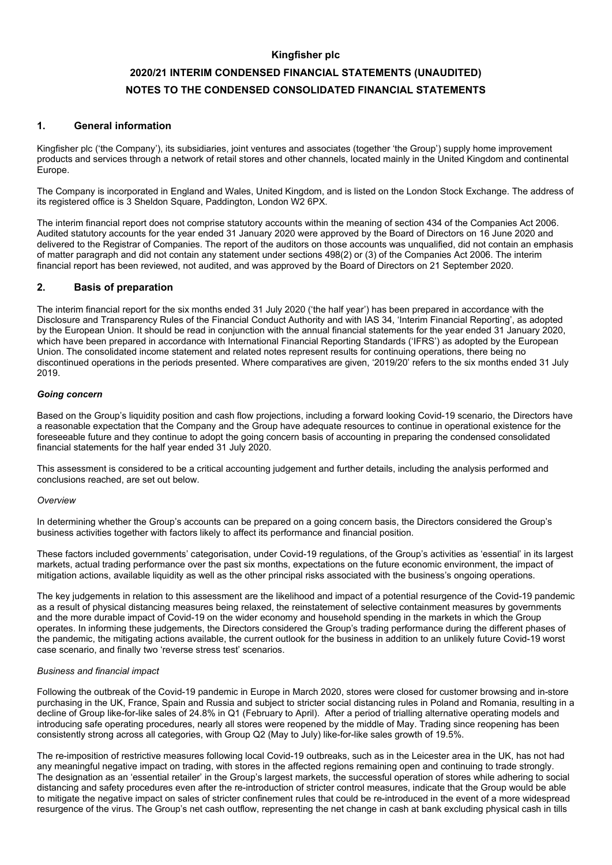# **Kingfisher plc 2020/21 INTERIM CONDENSED FINANCIAL STATEMENTS (UNAUDITED) NOTES TO THE CONDENSED CONSOLIDATED FINANCIAL STATEMENTS**

## **1. General information**

Kingfisher plc ('the Company'), its subsidiaries, joint ventures and associates (together 'the Group') supply home improvement products and services through a network of retail stores and other channels, located mainly in the United Kingdom and continental Europe.

The Company is incorporated in England and Wales, United Kingdom, and is listed on the London Stock Exchange. The address of its registered office is 3 Sheldon Square, Paddington, London W2 6PX.

The interim financial report does not comprise statutory accounts within the meaning of section 434 of the Companies Act 2006. Audited statutory accounts for the year ended 31 January 2020 were approved by the Board of Directors on 16 June 2020 and delivered to the Registrar of Companies. The report of the auditors on those accounts was unqualified, did not contain an emphasis of matter paragraph and did not contain any statement under sections 498(2) or (3) of the Companies Act 2006. The interim financial report has been reviewed, not audited, and was approved by the Board of Directors on 21 September 2020.

## **2. Basis of preparation**

The interim financial report for the six months ended 31 July 2020 ('the half year') has been prepared in accordance with the Disclosure and Transparency Rules of the Financial Conduct Authority and with IAS 34, 'Interim Financial Reporting', as adopted by the European Union. It should be read in conjunction with the annual financial statements for the year ended 31 January 2020, which have been prepared in accordance with International Financial Reporting Standards ('IFRS') as adopted by the European Union. The consolidated income statement and related notes represent results for continuing operations, there being no discontinued operations in the periods presented. Where comparatives are given, '2019/20' refers to the six months ended 31 July 2019.

## *Going concern*

Based on the Group's liquidity position and cash flow projections, including a forward looking Covid-19 scenario, the Directors have a reasonable expectation that the Company and the Group have adequate resources to continue in operational existence for the foreseeable future and they continue to adopt the going concern basis of accounting in preparing the condensed consolidated financial statements for the half year ended 31 July 2020.

This assessment is considered to be a critical accounting judgement and further details, including the analysis performed and conclusions reached, are set out below.

#### *Overview*

In determining whether the Group's accounts can be prepared on a going concern basis, the Directors considered the Group's business activities together with factors likely to affect its performance and financial position.

These factors included governments' categorisation, under Covid-19 regulations, of the Group's activities as 'essential' in its largest markets, actual trading performance over the past six months, expectations on the future economic environment, the impact of mitigation actions, available liquidity as well as the other principal risks associated with the business's ongoing operations.

The key judgements in relation to this assessment are the likelihood and impact of a potential resurgence of the Covid-19 pandemic as a result of physical distancing measures being relaxed, the reinstatement of selective containment measures by governments and the more durable impact of Covid-19 on the wider economy and household spending in the markets in which the Group operates. In informing these judgements, the Directors considered the Group's trading performance during the different phases of the pandemic, the mitigating actions available, the current outlook for the business in addition to an unlikely future Covid-19 worst case scenario, and finally two 'reverse stress test' scenarios.

#### *Business and financial impact*

Following the outbreak of the Covid-19 pandemic in Europe in March 2020, stores were closed for customer browsing and in-store purchasing in the UK, France, Spain and Russia and subject to stricter social distancing rules in Poland and Romania, resulting in a decline of Group like-for-like sales of 24.8% in Q1 (February to April). After a period of trialling alternative operating models and introducing safe operating procedures, nearly all stores were reopened by the middle of May. Trading since reopening has been consistently strong across all categories, with Group Q2 (May to July) like-for-like sales growth of 19.5%.

The re-imposition of restrictive measures following local Covid-19 outbreaks, such as in the Leicester area in the UK, has not had any meaningful negative impact on trading, with stores in the affected regions remaining open and continuing to trade strongly. The designation as an 'essential retailer' in the Group's largest markets, the successful operation of stores while adhering to social distancing and safety procedures even after the re-introduction of stricter control measures, indicate that the Group would be able to mitigate the negative impact on sales of stricter confinement rules that could be re-introduced in the event of a more widespread resurgence of the virus. The Group's net cash outflow, representing the net change in cash at bank excluding physical cash in tills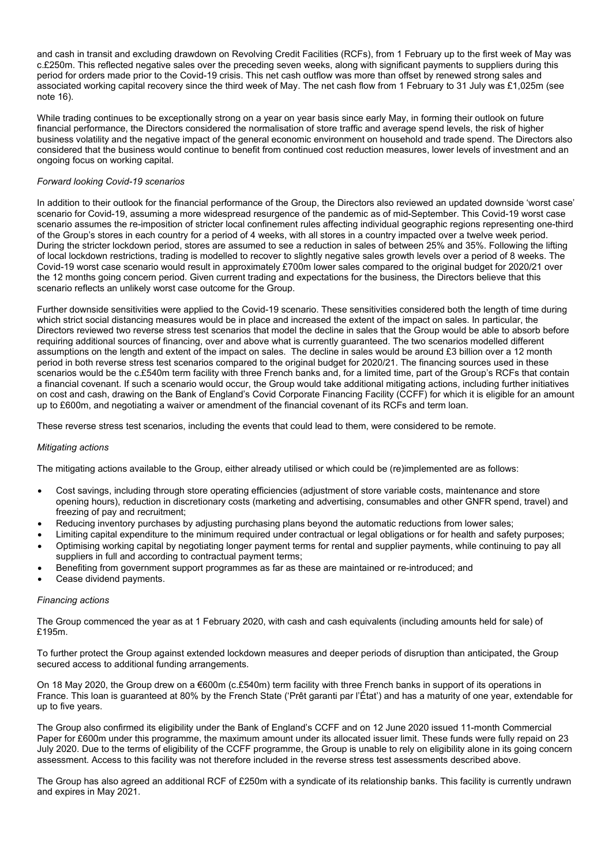and cash in transit and excluding drawdown on Revolving Credit Facilities (RCFs), from 1 February up to the first week of May was c.£250m. This reflected negative sales over the preceding seven weeks, along with significant payments to suppliers during this period for orders made prior to the Covid-19 crisis. This net cash outflow was more than offset by renewed strong sales and associated working capital recovery since the third week of May. The net cash flow from 1 February to 31 July was £1,025m (see note 16).

While trading continues to be exceptionally strong on a year on year basis since early May, in forming their outlook on future financial performance, the Directors considered the normalisation of store traffic and average spend levels, the risk of higher business volatility and the negative impact of the general economic environment on household and trade spend. The Directors also considered that the business would continue to benefit from continued cost reduction measures, lower levels of investment and an ongoing focus on working capital.

### *Forward looking Covid-19 scenarios*

In addition to their outlook for the financial performance of the Group, the Directors also reviewed an updated downside 'worst case' scenario for Covid-19, assuming a more widespread resurgence of the pandemic as of mid-September. This Covid-19 worst case scenario assumes the re-imposition of stricter local confinement rules affecting individual geographic regions representing one-third of the Group's stores in each country for a period of 4 weeks, with all stores in a country impacted over a twelve week period. During the stricter lockdown period, stores are assumed to see a reduction in sales of between 25% and 35%. Following the lifting of local lockdown restrictions, trading is modelled to recover to slightly negative sales growth levels over a period of 8 weeks. The Covid-19 worst case scenario would result in approximately £700m lower sales compared to the original budget for 2020/21 over the 12 months going concern period. Given current trading and expectations for the business, the Directors believe that this scenario reflects an unlikely worst case outcome for the Group.

Further downside sensitivities were applied to the Covid-19 scenario. These sensitivities considered both the length of time during which strict social distancing measures would be in place and increased the extent of the impact on sales. In particular, the Directors reviewed two reverse stress test scenarios that model the decline in sales that the Group would be able to absorb before requiring additional sources of financing, over and above what is currently guaranteed. The two scenarios modelled different assumptions on the length and extent of the impact on sales. The decline in sales would be around £3 billion over a 12 month period in both reverse stress test scenarios compared to the original budget for 2020/21. The financing sources used in these scenarios would be the c.£540m term facility with three French banks and, for a limited time, part of the Group's RCFs that contain a financial covenant. If such a scenario would occur, the Group would take additional mitigating actions, including further initiatives on cost and cash, drawing on the Bank of England's Covid Corporate Financing Facility (CCFF) for which it is eligible for an amount up to £600m, and negotiating a waiver or amendment of the financial covenant of its RCFs and term loan.

These reverse stress test scenarios, including the events that could lead to them, were considered to be remote.

#### *Mitigating actions*

The mitigating actions available to the Group, either already utilised or which could be (re)implemented are as follows:

- Cost savings, including through store operating efficiencies (adjustment of store variable costs, maintenance and store opening hours), reduction in discretionary costs (marketing and advertising, consumables and other GNFR spend, travel) and freezing of pay and recruitment;
- Reducing inventory purchases by adjusting purchasing plans beyond the automatic reductions from lower sales;
- Limiting capital expenditure to the minimum required under contractual or legal obligations or for health and safety purposes; • Optimising working capital by negotiating longer payment terms for rental and supplier payments, while continuing to pay all
- suppliers in full and according to contractual payment terms; • Benefiting from government support programmes as far as these are maintained or re-introduced; and
- Cease dividend payments.

#### *Financing actions*

The Group commenced the year as at 1 February 2020, with cash and cash equivalents (including amounts held for sale) of £195m.

To further protect the Group against extended lockdown measures and deeper periods of disruption than anticipated, the Group secured access to additional funding arrangements.

On 18 May 2020, the Group drew on a €600m (c.£540m) term facility with three French banks in support of its operations in France. This loan is guaranteed at 80% by the French State ('Prêt garanti par l'État') and has a maturity of one year, extendable for up to five years.

The Group also confirmed its eligibility under the Bank of England's CCFF and on 12 June 2020 issued 11-month Commercial Paper for £600m under this programme, the maximum amount under its allocated issuer limit. These funds were fully repaid on 23 July 2020. Due to the terms of eligibility of the CCFF programme, the Group is unable to rely on eligibility alone in its going concern assessment. Access to this facility was not therefore included in the reverse stress test assessments described above.

The Group has also agreed an additional RCF of £250m with a syndicate of its relationship banks. This facility is currently undrawn and expires in May 2021.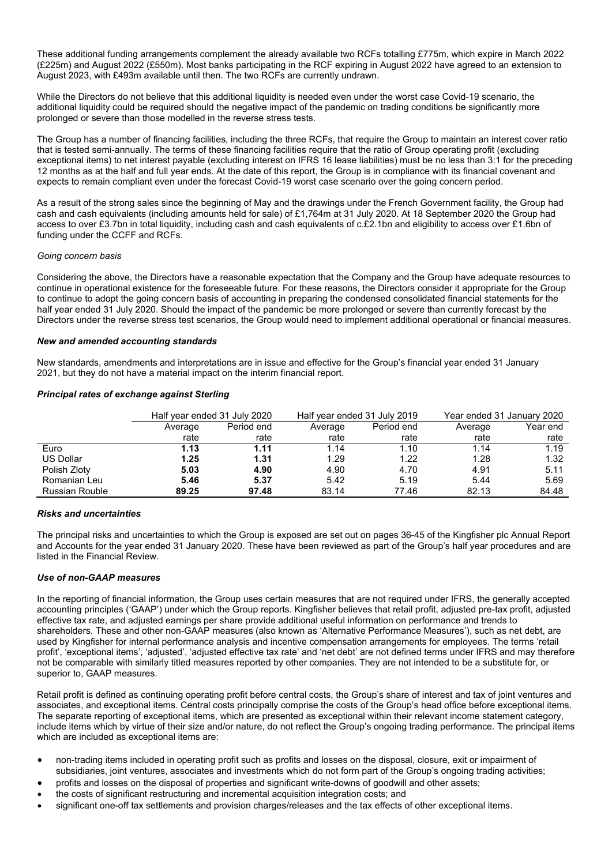These additional funding arrangements complement the already available two RCFs totalling £775m, which expire in March 2022 (£225m) and August 2022 (£550m). Most banks participating in the RCF expiring in August 2022 have agreed to an extension to August 2023, with £493m available until then. The two RCFs are currently undrawn.

While the Directors do not believe that this additional liquidity is needed even under the worst case Covid-19 scenario, the additional liquidity could be required should the negative impact of the pandemic on trading conditions be significantly more prolonged or severe than those modelled in the reverse stress tests.

The Group has a number of financing facilities, including the three RCFs, that require the Group to maintain an interest cover ratio that is tested semi-annually. The terms of these financing facilities require that the ratio of Group operating profit (excluding exceptional items) to net interest payable (excluding interest on IFRS 16 lease liabilities) must be no less than 3:1 for the preceding 12 months as at the half and full year ends. At the date of this report, the Group is in compliance with its financial covenant and expects to remain compliant even under the forecast Covid-19 worst case scenario over the going concern period.

As a result of the strong sales since the beginning of May and the drawings under the French Government facility, the Group had cash and cash equivalents (including amounts held for sale) of £1,764m at 31 July 2020. At 18 September 2020 the Group had access to over £3.7bn in total liquidity, including cash and cash equivalents of c.£2.1bn and eligibility to access over £1.6bn of funding under the CCFF and RCFs.

#### *Going concern basis*

Considering the above, the Directors have a reasonable expectation that the Company and the Group have adequate resources to continue in operational existence for the foreseeable future. For these reasons, the Directors consider it appropriate for the Group to continue to adopt the going concern basis of accounting in preparing the condensed consolidated financial statements for the half year ended 31 July 2020. Should the impact of the pandemic be more prolonged or severe than currently forecast by the Directors under the reverse stress test scenarios, the Group would need to implement additional operational or financial measures.

### *New and amended accounting standards*

New standards, amendments and interpretations are in issue and effective for the Group's financial year ended 31 January 2021, but they do not have a material impact on the interim financial report.

### *Principal rates of exchange against Sterling*

|                |         | Half year ended 31 July 2020 |         | Half year ended 31 July 2019 | Year ended 31 January 2020 |          |
|----------------|---------|------------------------------|---------|------------------------------|----------------------------|----------|
|                | Average | Period end                   | Average | Period end                   | Average                    | Year end |
|                | rate    | rate                         | rate    | rate                         | rate                       | rate     |
| Euro           | 1.13    | 1.11                         | 1.14    | 1.10                         | 1.14                       | 1.19     |
| US Dollar      | 1.25    | 1.31                         | 1.29    | 1.22                         | 1.28                       | 1.32     |
| Polish Zloty   | 5.03    | 4.90                         | 4.90    | 4.70                         | 4.91                       | 5.11     |
| Romanian Leu   | 5.46    | 5.37                         | 5.42    | 5.19                         | 5.44                       | 5.69     |
| Russian Rouble | 89.25   | 97.48                        | 83.14   | 77.46                        | 82.13                      | 84.48    |

## *Risks and uncertainties*

The principal risks and uncertainties to which the Group is exposed are set out on pages 36-45 of the Kingfisher plc Annual Report and Accounts for the year ended 31 January 2020. These have been reviewed as part of the Group's half year procedures and are listed in the Financial Review.

### *Use of non-GAAP measures*

In the reporting of financial information, the Group uses certain measures that are not required under IFRS, the generally accepted accounting principles ('GAAP') under which the Group reports. Kingfisher believes that retail profit, adjusted pre-tax profit, adjusted effective tax rate, and adjusted earnings per share provide additional useful information on performance and trends to shareholders. These and other non-GAAP measures (also known as 'Alternative Performance Measures'), such as net debt, are used by Kingfisher for internal performance analysis and incentive compensation arrangements for employees. The terms 'retail profit', 'exceptional items', 'adjusted', 'adjusted effective tax rate' and 'net debt' are not defined terms under IFRS and may therefore not be comparable with similarly titled measures reported by other companies. They are not intended to be a substitute for, or superior to, GAAP measures.

Retail profit is defined as continuing operating profit before central costs, the Group's share of interest and tax of joint ventures and associates, and exceptional items. Central costs principally comprise the costs of the Group's head office before exceptional items. The separate reporting of exceptional items, which are presented as exceptional within their relevant income statement category, include items which by virtue of their size and/or nature, do not reflect the Group's ongoing trading performance. The principal items which are included as exceptional items are:

- non-trading items included in operating profit such as profits and losses on the disposal, closure, exit or impairment of subsidiaries, joint ventures, associates and investments which do not form part of the Group's ongoing trading activities;
- profits and losses on the disposal of properties and significant write-downs of goodwill and other assets;
- the costs of significant restructuring and incremental acquisition integration costs; and
- significant one-off tax settlements and provision charges/releases and the tax effects of other exceptional items.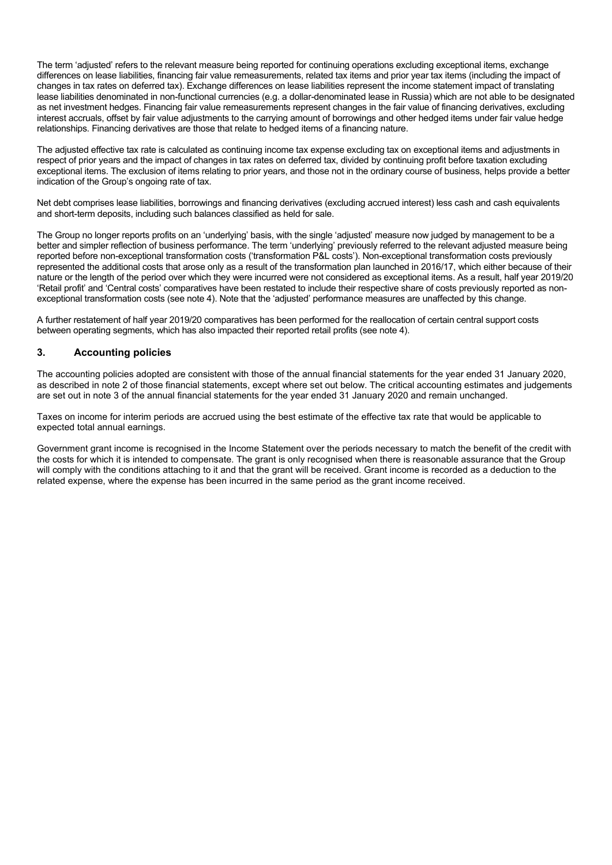The term 'adjusted' refers to the relevant measure being reported for continuing operations excluding exceptional items, exchange differences on lease liabilities, financing fair value remeasurements, related tax items and prior year tax items (including the impact of changes in tax rates on deferred tax). Exchange differences on lease liabilities represent the income statement impact of translating lease liabilities denominated in non-functional currencies (e.g. a dollar-denominated lease in Russia) which are not able to be designated as net investment hedges. Financing fair value remeasurements represent changes in the fair value of financing derivatives, excluding interest accruals, offset by fair value adjustments to the carrying amount of borrowings and other hedged items under fair value hedge relationships. Financing derivatives are those that relate to hedged items of a financing nature.

The adjusted effective tax rate is calculated as continuing income tax expense excluding tax on exceptional items and adjustments in respect of prior years and the impact of changes in tax rates on deferred tax, divided by continuing profit before taxation excluding exceptional items. The exclusion of items relating to prior years, and those not in the ordinary course of business, helps provide a better indication of the Group's ongoing rate of tax.

Net debt comprises lease liabilities, borrowings and financing derivatives (excluding accrued interest) less cash and cash equivalents and short-term deposits, including such balances classified as held for sale.

The Group no longer reports profits on an 'underlying' basis, with the single 'adjusted' measure now judged by management to be a better and simpler reflection of business performance. The term 'underlying' previously referred to the relevant adjusted measure being reported before non-exceptional transformation costs ('transformation P&L costs'). Non-exceptional transformation costs previously represented the additional costs that arose only as a result of the transformation plan launched in 2016/17, which either because of their nature or the length of the period over which they were incurred were not considered as exceptional items. As a result, half year 2019/20 'Retail profit' and 'Central costs' comparatives have been restated to include their respective share of costs previously reported as nonexceptional transformation costs (see note 4). Note that the 'adjusted' performance measures are unaffected by this change.

A further restatement of half year 2019/20 comparatives has been performed for the reallocation of certain central support costs between operating segments, which has also impacted their reported retail profits (see note 4).

## **3. Accounting policies**

The accounting policies adopted are consistent with those of the annual financial statements for the year ended 31 January 2020, as described in note 2 of those financial statements, except where set out below. The critical accounting estimates and judgements are set out in note 3 of the annual financial statements for the year ended 31 January 2020 and remain unchanged.

Taxes on income for interim periods are accrued using the best estimate of the effective tax rate that would be applicable to expected total annual earnings.

Government grant income is recognised in the Income Statement over the periods necessary to match the benefit of the credit with the costs for which it is intended to compensate. The grant is only recognised when there is reasonable assurance that the Group will comply with the conditions attaching to it and that the grant will be received. Grant income is recorded as a deduction to the related expense, where the expense has been incurred in the same period as the grant income received.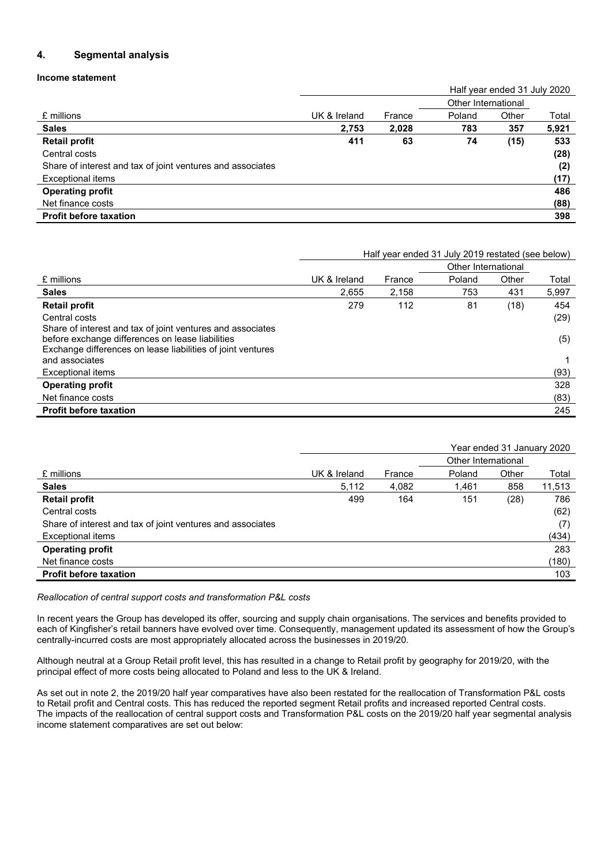# **4. Segmental analysis**

## **Income statement**

|                                                            |              |        |        | Half year ended 31 July 2020 |       |  |  |
|------------------------------------------------------------|--------------|--------|--------|------------------------------|-------|--|--|
|                                                            |              |        |        | Other International          |       |  |  |
| £ millions                                                 | UK & Ireland | France | Poland | Other                        | Total |  |  |
| <b>Sales</b>                                               | 2,753        | 2,028  | 783    | 357                          | 5,921 |  |  |
| <b>Retail profit</b>                                       | 411          | 63     | 74     | (15)                         | 533   |  |  |
| Central costs                                              |              |        |        |                              | (28)  |  |  |
| Share of interest and tax of joint ventures and associates |              |        |        |                              | (2)   |  |  |
| <b>Exceptional items</b>                                   |              |        |        |                              | (17)  |  |  |
| <b>Operating profit</b>                                    |              |        |        |                              | 486   |  |  |
| Net finance costs                                          |              |        |        |                              | (88)  |  |  |
| <b>Profit before taxation</b>                              |              |        |        |                              | 398   |  |  |

|                                                                               | Half year ended 31 July 2019 restated (see below) |        |                     |       |       |
|-------------------------------------------------------------------------------|---------------------------------------------------|--------|---------------------|-------|-------|
|                                                                               |                                                   |        | Other International |       |       |
| £ millions                                                                    | UK & Ireland                                      | France | Poland              | Other | Total |
| <b>Sales</b>                                                                  | 2.655                                             | 2.158  | 753                 | 431   | 5,997 |
| <b>Retail profit</b>                                                          | 279                                               | 112    | 81                  | (18)  | 454   |
| Central costs                                                                 |                                                   |        |                     |       | (29)  |
| Share of interest and tax of joint ventures and associates                    |                                                   |        |                     |       |       |
| before exchange differences on lease liabilities                              |                                                   |        |                     |       | (5)   |
| Exchange differences on lease liabilities of joint ventures<br>and associates |                                                   |        |                     |       |       |
| Exceptional items                                                             |                                                   |        |                     |       | (93)  |
| <b>Operating profit</b>                                                       |                                                   |        |                     |       | 328   |
| Net finance costs                                                             |                                                   |        |                     |       | (83)  |
| <b>Profit before taxation</b>                                                 |                                                   |        |                     |       | 245   |

|                                                            |              |        |                     | Year ended 31 January 2020 |        |  |  |
|------------------------------------------------------------|--------------|--------|---------------------|----------------------------|--------|--|--|
|                                                            |              |        | Other International |                            |        |  |  |
| £ millions                                                 | UK & Ireland | France | Poland              | Other                      | Total  |  |  |
| <b>Sales</b>                                               | 5,112        | 4,082  | 1,461               | 858                        | 11,513 |  |  |
| <b>Retail profit</b>                                       | 499          | 164    | 151                 | (28)                       | 786    |  |  |
| Central costs                                              |              |        |                     |                            | (62)   |  |  |
| Share of interest and tax of joint ventures and associates |              |        |                     |                            | (7)    |  |  |
| <b>Exceptional items</b>                                   |              |        |                     |                            | (434)  |  |  |
| <b>Operating profit</b>                                    |              |        |                     |                            | 283    |  |  |
| Net finance costs                                          |              |        |                     |                            | (180)  |  |  |
| <b>Profit before taxation</b>                              |              |        |                     |                            | 103    |  |  |

## *Reallocation of central support costs and transformation P&L costs*

In recent years the Group has developed its offer, sourcing and supply chain organisations. The services and benefits provided to each of Kingfisher's retail banners have evolved over time. Consequently, management updated its assessment of how the Group's centrally-incurred costs are most appropriately allocated across the businesses in 2019/20.

Although neutral at a Group Retail profit level, this has resulted in a change to Retail profit by geography for 2019/20, with the principal effect of more costs being allocated to Poland and less to the UK & Ireland.

As set out in note 2, the 2019/20 half year comparatives have also been restated for the reallocation of Transformation P&L costs to Retail profit and Central costs. This has reduced the reported segment Retail profits and increased reported Central costs. The impacts of the reallocation of central support costs and Transformation P&L costs on the 2019/20 half year segmental analysis income statement comparatives are set out below: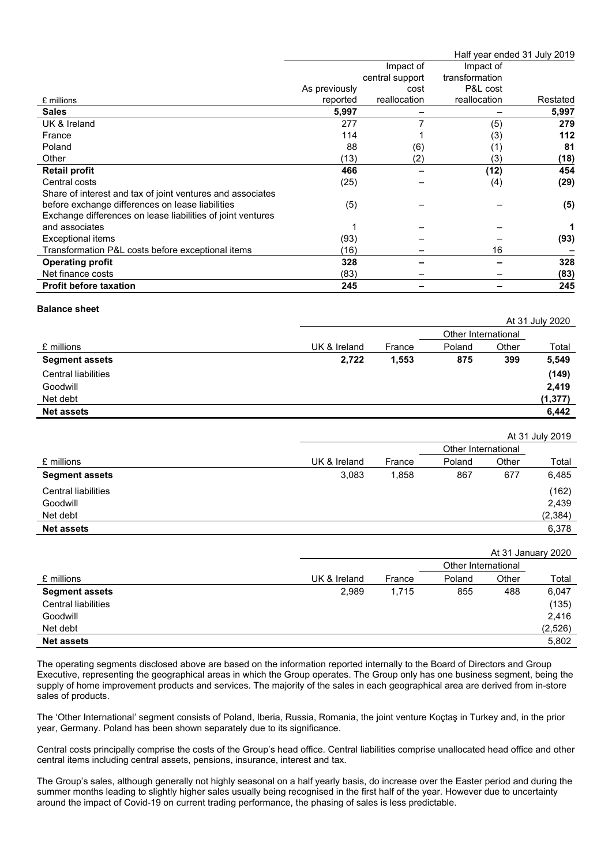|                                                             |               |                 |                | Half year ended 31 July 2019 |
|-------------------------------------------------------------|---------------|-----------------|----------------|------------------------------|
|                                                             |               | Impact of       | Impact of      |                              |
|                                                             |               | central support | transformation |                              |
|                                                             | As previously | cost            | P&L cost       |                              |
| £ millions                                                  | reported      | reallocation    | reallocation   | Restated                     |
| <b>Sales</b>                                                | 5,997         |                 |                | 5,997                        |
| UK & Ireland                                                | 277           |                 | (5)            | 279                          |
| France                                                      | 114           |                 | (3)            | 112                          |
| Poland                                                      | 88            | (6)             | (1)            | 81                           |
| Other                                                       | (13)          | (2)             | (3)            | (18)                         |
| <b>Retail profit</b>                                        | 466           |                 | (12)           | 454                          |
| Central costs                                               | (25)          |                 | (4)            | (29)                         |
| Share of interest and tax of joint ventures and associates  |               |                 |                |                              |
| before exchange differences on lease liabilities            | (5)           |                 |                | (5)                          |
| Exchange differences on lease liabilities of joint ventures |               |                 |                |                              |
| and associates                                              |               |                 |                |                              |
| Exceptional items                                           | (93)          |                 |                | (93)                         |
| Transformation P&L costs before exceptional items           | (16)          |                 | 16             |                              |
| <b>Operating profit</b>                                     | 328           |                 |                | 328                          |
| Net finance costs                                           | (83)          |                 |                | (83)                         |
| <b>Profit before taxation</b>                               | 245           |                 |                | 245                          |

### **Balance sheet**

|                       |              |        |                     |       | At 31 July 2020 |
|-----------------------|--------------|--------|---------------------|-------|-----------------|
|                       |              |        | Other International |       |                 |
| £ millions            | UK & Ireland | France | Poland              | Other | Total           |
| <b>Segment assets</b> | 2,722        | 1,553  | 875                 | 399   | 5,549           |
| Central liabilities   |              |        |                     |       | (149)           |
| Goodwill              |              |        |                     |       | 2,419           |
| Net debt              |              |        |                     |       | (1, 377)        |
| <b>Net assets</b>     |              |        |                     |       | 6,442           |

|                       |              |        |                     |       | At 31 July 2019 |
|-----------------------|--------------|--------|---------------------|-------|-----------------|
|                       |              |        | Other International |       |                 |
| £ millions            | UK & Ireland | France | Poland              | Other | Total           |
| <b>Segment assets</b> | 3,083        | 1,858  | 867                 | 677   | 6,485           |
| Central liabilities   |              |        |                     |       | (162)           |
| Goodwill              |              |        |                     |       | 2,439           |
| Net debt              |              |        |                     |       | (2, 384)        |
| <b>Net assets</b>     |              |        |                     |       | 6,378           |

# At 31 January 2020

|                       |              |        | Other International |       |          |
|-----------------------|--------------|--------|---------------------|-------|----------|
| £ millions            | UK & Ireland | France | Poland              | Other | Total    |
| <b>Segment assets</b> | 2,989        | 1,715  | 855                 | 488   | 6,047    |
| Central liabilities   |              |        |                     |       | (135)    |
| Goodwill              |              |        |                     |       | 2,416    |
| Net debt              |              |        |                     |       | (2, 526) |
| <b>Net assets</b>     |              |        |                     |       | 5,802    |

The operating segments disclosed above are based on the information reported internally to the Board of Directors and Group Executive, representing the geographical areas in which the Group operates. The Group only has one business segment, being the supply of home improvement products and services. The majority of the sales in each geographical area are derived from in-store sales of products.

The 'Other International' segment consists of Poland, Iberia, Russia, Romania, the joint venture Koçtaş in Turkey and, in the prior year, Germany. Poland has been shown separately due to its significance.

Central costs principally comprise the costs of the Group's head office. Central liabilities comprise unallocated head office and other central items including central assets, pensions, insurance, interest and tax.

The Group's sales, although generally not highly seasonal on a half yearly basis, do increase over the Easter period and during the summer months leading to slightly higher sales usually being recognised in the first half of the year. However due to uncertainty around the impact of Covid-19 on current trading performance, the phasing of sales is less predictable.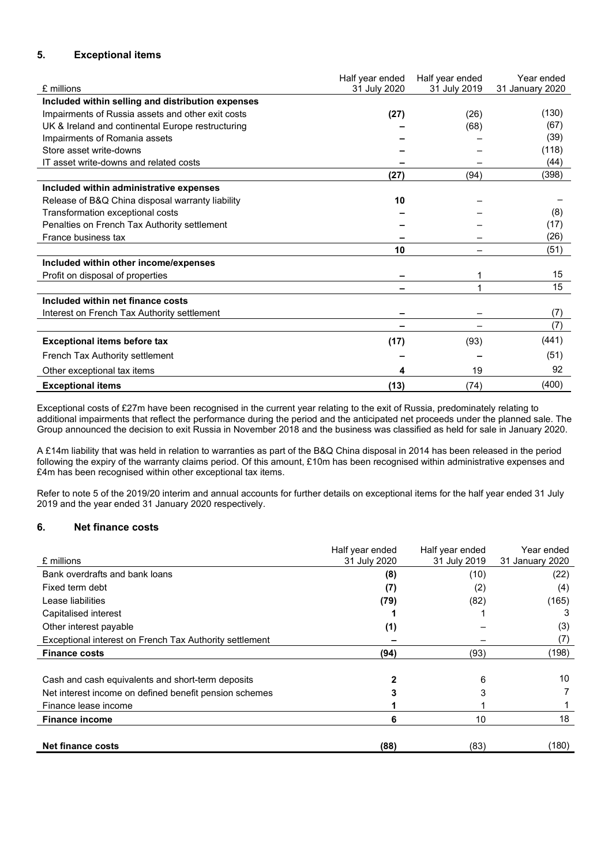# **5. Exceptional items**

| £ millions                                        | Half year ended<br>31 July 2020 | Half year ended<br>31 July 2019 | Year ended<br>31 January 2020 |
|---------------------------------------------------|---------------------------------|---------------------------------|-------------------------------|
| Included within selling and distribution expenses |                                 |                                 |                               |
| Impairments of Russia assets and other exit costs | (27)                            | (26)                            | (130)                         |
| UK & Ireland and continental Europe restructuring |                                 | (68)                            | (67)                          |
| Impairments of Romania assets                     |                                 |                                 | (39)                          |
| Store asset write-downs                           |                                 |                                 | (118)                         |
| IT asset write-downs and related costs            |                                 |                                 | (44)                          |
|                                                   | (27)                            | (94)                            | (398)                         |
| Included within administrative expenses           |                                 |                                 |                               |
| Release of B&Q China disposal warranty liability  | 10                              |                                 |                               |
| Transformation exceptional costs                  |                                 |                                 | (8)                           |
| Penalties on French Tax Authority settlement      |                                 |                                 | (17)                          |
| France business tax                               |                                 |                                 | (26)                          |
|                                                   | 10                              |                                 | (51)                          |
| Included within other income/expenses             |                                 |                                 |                               |
| Profit on disposal of properties                  |                                 |                                 | 15                            |
|                                                   | -                               |                                 | 15                            |
| Included within net finance costs                 |                                 |                                 |                               |
| Interest on French Tax Authority settlement       |                                 |                                 | (7)                           |
|                                                   |                                 |                                 | (7)                           |
| <b>Exceptional items before tax</b>               | (17)                            | (93)                            | (441)                         |
| French Tax Authority settlement                   |                                 |                                 | (51)                          |
| Other exceptional tax items                       | 4                               | 19                              | 92                            |
| <b>Exceptional items</b>                          | (13)                            | (74)                            | (400)                         |

Exceptional costs of £27m have been recognised in the current year relating to the exit of Russia, predominately relating to additional impairments that reflect the performance during the period and the anticipated net proceeds under the planned sale. The Group announced the decision to exit Russia in November 2018 and the business was classified as held for sale in January 2020.

A £14m liability that was held in relation to warranties as part of the B&Q China disposal in 2014 has been released in the period following the expiry of the warranty claims period. Of this amount, £10m has been recognised within administrative expenses and £4m has been recognised within other exceptional tax items.

Refer to note 5 of the 2019/20 interim and annual accounts for further details on exceptional items for the half year ended 31 July 2019 and the year ended 31 January 2020 respectively.

# **6. Net finance costs**

| £ millions                                              | Half year ended<br>31 July 2020 | Half year ended<br>31 July 2019 | Year ended<br>31 January 2020 |
|---------------------------------------------------------|---------------------------------|---------------------------------|-------------------------------|
| Bank overdrafts and bank loans                          | (8)                             | (10)                            | (22)                          |
| Fixed term debt                                         | (7)                             | (2)                             | (4)                           |
| Lease liabilities                                       | (79)                            | (82)                            | (165)                         |
| Capitalised interest                                    |                                 |                                 | 3                             |
| Other interest payable                                  | (1)                             |                                 | (3)                           |
| Exceptional interest on French Tax Authority settlement |                                 |                                 | (7)                           |
| <b>Finance costs</b>                                    | (94)                            | (93)                            | (198)                         |
|                                                         |                                 |                                 |                               |
| Cash and cash equivalents and short-term deposits       |                                 | 6                               | 10                            |
| Net interest income on defined benefit pension schemes  |                                 |                                 |                               |
| Finance lease income                                    |                                 |                                 |                               |
| <b>Finance income</b>                                   | 6                               | 10                              | 18                            |
| Net finance costs                                       | (88)                            | (83)                            | (180)                         |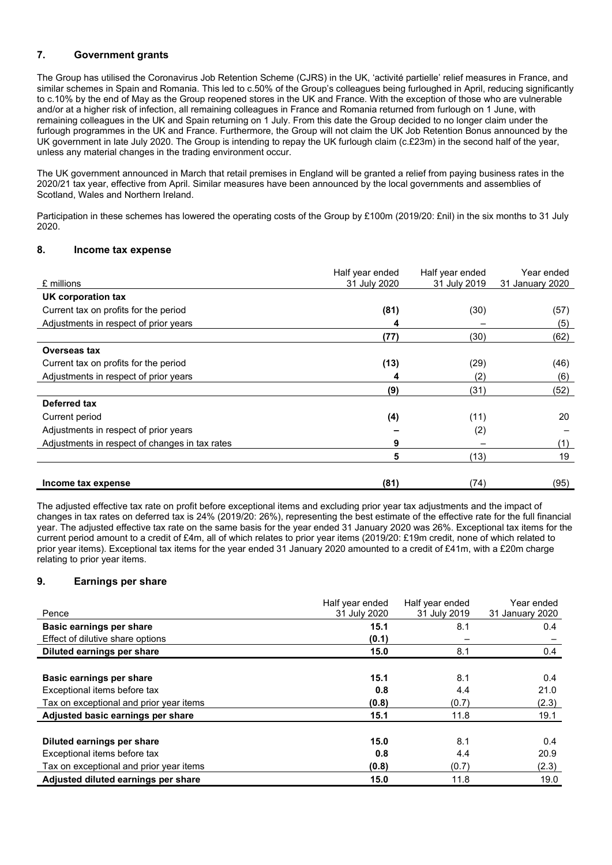# **7. Government grants**

The Group has utilised the Coronavirus Job Retention Scheme (CJRS) in the UK, 'activité partielle' relief measures in France, and similar schemes in Spain and Romania. This led to c.50% of the Group's colleagues being furloughed in April, reducing significantly to c.10% by the end of May as the Group reopened stores in the UK and France. With the exception of those who are vulnerable and/or at a higher risk of infection, all remaining colleagues in France and Romania returned from furlough on 1 June, with remaining colleagues in the UK and Spain returning on 1 July. From this date the Group decided to no longer claim under the furlough programmes in the UK and France. Furthermore, the Group will not claim the UK Job Retention Bonus announced by the UK government in late July 2020. The Group is intending to repay the UK furlough claim (c.£23m) in the second half of the year, unless any material changes in the trading environment occur.

The UK government announced in March that retail premises in England will be granted a relief from paying business rates in the 2020/21 tax year, effective from April. Similar measures have been announced by the local governments and assemblies of Scotland, Wales and Northern Ireland.

Participation in these schemes has lowered the operating costs of the Group by £100m (2019/20: £nil) in the six months to 31 July 2020.

## **8. Income tax expense**

| £ millions                                     | Half year ended<br>31 July 2020 | Half year ended<br>31 July 2019 | Year ended<br>31 January 2020 |
|------------------------------------------------|---------------------------------|---------------------------------|-------------------------------|
| UK corporation tax                             |                                 |                                 |                               |
| Current tax on profits for the period          | (81)                            | (30)                            | (57)                          |
| Adjustments in respect of prior years          |                                 |                                 | (5)                           |
|                                                | (77)                            | (30)                            | (62)                          |
| Overseas tax                                   |                                 |                                 |                               |
| Current tax on profits for the period          | (13)                            | (29)                            | (46)                          |
| Adjustments in respect of prior years          | 4                               | (2)                             | (6)                           |
|                                                | (9)                             | (31)                            | (52)                          |
| Deferred tax                                   |                                 |                                 |                               |
| Current period                                 | (4)                             | (11)                            | 20                            |
| Adjustments in respect of prior years          |                                 | (2)                             |                               |
| Adjustments in respect of changes in tax rates | 9                               |                                 | (1)                           |
|                                                | 5                               | (13)                            | 19                            |
|                                                |                                 |                                 |                               |
| Income tax expense                             | (81)                            | (74)                            | (95)                          |

The adjusted effective tax rate on profit before exceptional items and excluding prior year tax adjustments and the impact of changes in tax rates on deferred tax is 24% (2019/20: 26%), representing the best estimate of the effective rate for the full financial year. The adjusted effective tax rate on the same basis for the year ended 31 January 2020 was 26%. Exceptional tax items for the current period amount to a credit of £4m, all of which relates to prior year items (2019/20: £19m credit, none of which related to prior year items). Exceptional tax items for the year ended 31 January 2020 amounted to a credit of £41m, with a £20m charge relating to prior year items.

# **9. Earnings per share**

| Pence                                   | Half year ended<br>31 July 2020 | Half year ended<br>31 July 2019 | Year ended<br>31 January 2020 |
|-----------------------------------------|---------------------------------|---------------------------------|-------------------------------|
|                                         |                                 |                                 |                               |
| Basic earnings per share                | 15.1                            | 8.1                             | 0.4                           |
| Effect of dilutive share options        | (0.1)                           |                                 |                               |
| Diluted earnings per share              | 15.0                            | 8.1                             | 0.4                           |
|                                         |                                 |                                 |                               |
| Basic earnings per share                | 15.1                            | 8.1                             | 0.4                           |
| Exceptional items before tax            | 0.8                             | 4.4                             | 21.0                          |
| Tax on exceptional and prior year items | (0.8)                           | (0.7)                           | (2.3)                         |
| Adjusted basic earnings per share       | 15.1                            | 11.8                            | 19.1                          |
|                                         |                                 |                                 |                               |
| Diluted earnings per share              | 15.0                            | 8.1                             | 0.4                           |
| Exceptional items before tax            | 0.8                             | 4.4                             | 20.9                          |
| Tax on exceptional and prior year items | (0.8)                           | (0.7)                           | (2.3)                         |
| Adjusted diluted earnings per share     | 15.0                            | 11.8                            | 19.0                          |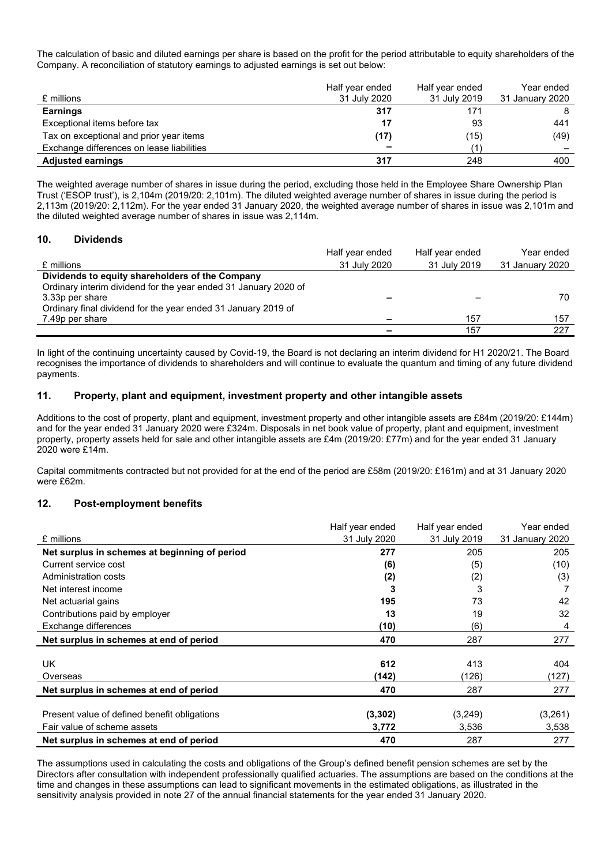The calculation of basic and diluted earnings per share is based on the profit for the period attributable to equity shareholders of the Company. A reconciliation of statutory earnings to adjusted earnings is set out below:

| £ millions                                | Half year ended<br>31 July 2020 | Half year ended<br>31 July 2019 | Year ended<br>31 January 2020 |
|-------------------------------------------|---------------------------------|---------------------------------|-------------------------------|
| <b>Earnings</b>                           | 317                             | 171                             |                               |
| Exceptional items before tax              | 17                              | 93                              | 441                           |
| Tax on exceptional and prior year items   | (17)                            | (15)                            | (49)                          |
| Exchange differences on lease liabilities | $\overline{\phantom{a}}$        |                                 |                               |
| <b>Adjusted earnings</b>                  | 317                             | 248                             | 400                           |

The weighted average number of shares in issue during the period, excluding those held in the Employee Share Ownership Plan Trust ('ESOP trust'), is 2,104m (2019/20: 2,101m). The diluted weighted average number of shares in issue during the period is 2,113m (2019/20: 2,112m). For the year ended 31 January 2020, the weighted average number of shares in issue was 2,101m and the diluted weighted average number of shares in issue was 2,114m.

### **10. Dividends**

|                                                                 | Half year ended | Half year ended | Year ended      |
|-----------------------------------------------------------------|-----------------|-----------------|-----------------|
| £ millions                                                      | 31 July 2020    | 31 July 2019    | 31 January 2020 |
| Dividends to equity shareholders of the Company                 |                 |                 |                 |
| Ordinary interim dividend for the year ended 31 January 2020 of |                 |                 |                 |
| 3.33p per share                                                 |                 |                 | 70              |
| Ordinary final dividend for the year ended 31 January 2019 of   |                 |                 |                 |
| 7.49p per share                                                 |                 | 157             | 157             |
|                                                                 |                 | 157             | 227             |

In light of the continuing uncertainty caused by Covid-19, the Board is not declaring an interim dividend for H1 2020/21. The Board recognises the importance of dividends to shareholders and will continue to evaluate the quantum and timing of any future dividend payments.

## **11. Property, plant and equipment, investment property and other intangible assets**

Additions to the cost of property, plant and equipment, investment property and other intangible assets are £84m (2019/20: £144m) and for the year ended 31 January 2020 were £324m. Disposals in net book value of property, plant and equipment, investment property, property assets held for sale and other intangible assets are £4m (2019/20: £77m) and for the year ended 31 January 2020 were £14m.

Capital commitments contracted but not provided for at the end of the period are £58m (2019/20: £161m) and at 31 January 2020 were £62m.

## **12. Post-employment benefits**

|                                               | Half year ended | Half year ended | Year ended      |
|-----------------------------------------------|-----------------|-----------------|-----------------|
| £ millions                                    | 31 July 2020    | 31 July 2019    | 31 January 2020 |
| Net surplus in schemes at beginning of period | 277             | 205             | 205             |
| Current service cost                          | (6)             | (5)             | (10)            |
| Administration costs                          | (2)             | (2)             | (3)             |
| Net interest income                           | 3               | 3               |                 |
| Net actuarial gains                           | 195             | 73              | 42              |
| Contributions paid by employer                | 13              | 19              | 32              |
| Exchange differences                          | (10)            | (6)             | 4               |
| Net surplus in schemes at end of period       | 470             | 287             | 277             |
|                                               |                 |                 |                 |
| UK                                            | 612             | 413             | 404             |
| Overseas                                      | (142)           | (126)           | (127)           |
| Net surplus in schemes at end of period       | 470             | 287             | 277             |
|                                               |                 |                 |                 |
| Present value of defined benefit obligations  | (3,302)         | (3,249)         | (3,261)         |
| Fair value of scheme assets                   | 3,772           | 3,536           | 3,538           |
| Net surplus in schemes at end of period       | 470             | 287             | 277             |

The assumptions used in calculating the costs and obligations of the Group's defined benefit pension schemes are set by the Directors after consultation with independent professionally qualified actuaries. The assumptions are based on the conditions at the time and changes in these assumptions can lead to significant movements in the estimated obligations, as illustrated in the sensitivity analysis provided in note 27 of the annual financial statements for the year ended 31 January 2020.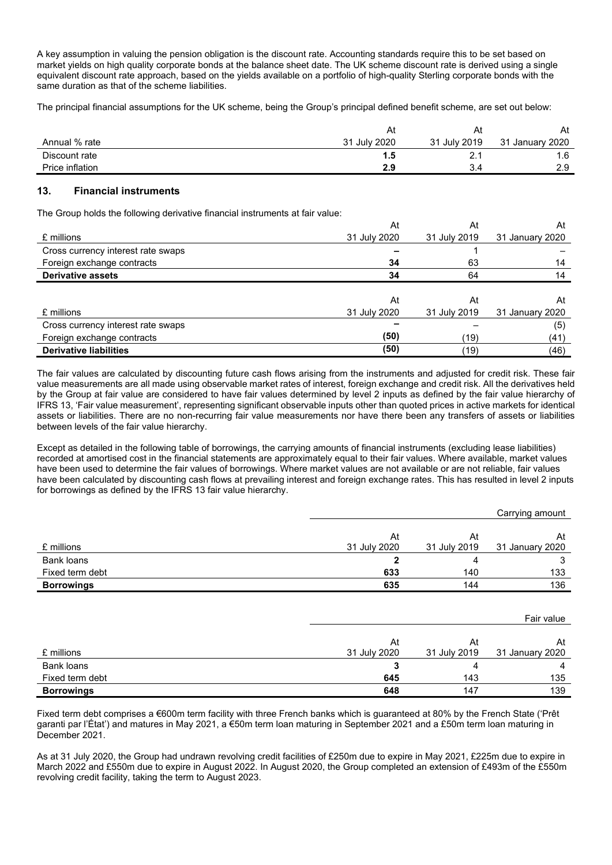A key assumption in valuing the pension obligation is the discount rate. Accounting standards require this to be set based on market yields on high quality corporate bonds at the balance sheet date. The UK scheme discount rate is derived using a single equivalent discount rate approach, based on the yields available on a portfolio of high-quality Sterling corporate bonds with the same duration as that of the scheme liabilities.

The principal financial assumptions for the UK scheme, being the Group's principal defined benefit scheme, are set out below:

|                 | Ατ                     | At           | At                 |
|-----------------|------------------------|--------------|--------------------|
| Annual % rate   | 31<br><b>July 2020</b> | 31 July 2019 | January 2020<br>21 |
| Discount rate   |                        | <u>.</u>     | . 6                |
| Price inflation | 2.9                    | ັ.           | っぃ<br>ت. ے         |

## **13. Financial instruments**

The Group holds the following derivative financial instruments at fair value:

|                                    | At           | At           | At              |
|------------------------------------|--------------|--------------|-----------------|
| £ millions                         | 31 July 2020 | 31 July 2019 | 31 January 2020 |
| Cross currency interest rate swaps |              |              |                 |
| Foreign exchange contracts         | 34           | 63           | 14              |
| <b>Derivative assets</b>           | 34           | 64           | 14              |
|                                    |              |              |                 |
|                                    | At           | At           | At              |
| £ millions                         | 31 July 2020 | 31 July 2019 | 31 January 2020 |
| Cross currency interest rate swaps |              |              | (5)             |
| Foreign exchange contracts         | (50)         | (19)         | (41)            |
| <b>Derivative liabilities</b>      | (50)         | (19)         | (46)            |

The fair values are calculated by discounting future cash flows arising from the instruments and adjusted for credit risk. These fair value measurements are all made using observable market rates of interest, foreign exchange and credit risk. All the derivatives held by the Group at fair value are considered to have fair values determined by level 2 inputs as defined by the fair value hierarchy of IFRS 13, 'Fair value measurement', representing significant observable inputs other than quoted prices in active markets for identical assets or liabilities. There are no non-recurring fair value measurements nor have there been any transfers of assets or liabilities between levels of the fair value hierarchy.

Except as detailed in the following table of borrowings, the carrying amounts of financial instruments (excluding lease liabilities) recorded at amortised cost in the financial statements are approximately equal to their fair values. Where available, market values have been used to determine the fair values of borrowings. Where market values are not available or are not reliable, fair values have been calculated by discounting cash flows at prevailing interest and foreign exchange rates. This has resulted in level 2 inputs for borrowings as defined by the IFRS 13 fair value hierarchy.

|                   |              |              | Carrying amount |
|-------------------|--------------|--------------|-----------------|
|                   |              |              |                 |
|                   | At           | At           | At              |
| £ millions        | 31 July 2020 | 31 July 2019 | 31 January 2020 |
| Bank loans        | 2            | 4            | 3               |
| Fixed term debt   | 633          | 140          | 133             |
| <b>Borrowings</b> | 635          | 144          | 136             |
|                   |              |              |                 |
|                   |              |              |                 |
|                   |              |              | Fair value      |
|                   |              |              |                 |

|                   | At           | At           | At              |
|-------------------|--------------|--------------|-----------------|
| £ millions        | 31 July 2020 | 31 July 2019 | 31 January 2020 |
| Bank loans        |              |              |                 |
| Fixed term debt   | 645          | 143          | 135             |
| <b>Borrowings</b> | 648          | 147          | 139             |

Fixed term debt comprises a €600m term facility with three French banks which is guaranteed at 80% by the French State ('Prêt garanti par l'État') and matures in May 2021, a €50m term loan maturing in September 2021 and a £50m term loan maturing in December 2021.

As at 31 July 2020, the Group had undrawn revolving credit facilities of £250m due to expire in May 2021, £225m due to expire in March 2022 and £550m due to expire in August 2022. In August 2020, the Group completed an extension of £493m of the £550m revolving credit facility, taking the term to August 2023.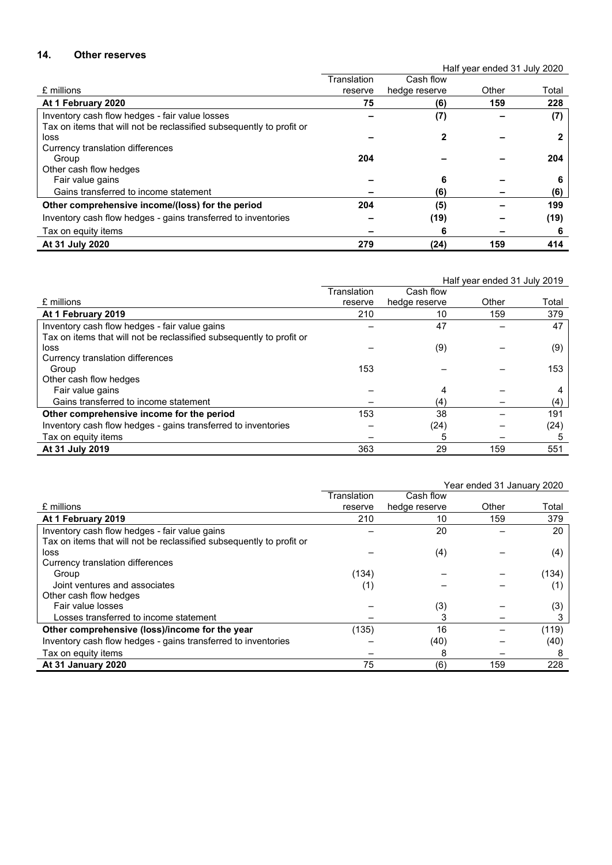# **14. Other reserves**

Half year ended 31 July 2020

|                                                                      | Translation | Cash flow     |       |       |
|----------------------------------------------------------------------|-------------|---------------|-------|-------|
| £ millions                                                           | reserve     | hedge reserve | Other | Total |
| At 1 February 2020                                                   | 75          | (6)           | 159   | 228   |
| Inventory cash flow hedges - fair value losses                       |             | (7)           |       | (7)   |
| Tax on items that will not be reclassified subsequently to profit or |             |               |       |       |
| loss                                                                 |             |               |       |       |
| Currency translation differences                                     |             |               |       |       |
| Group                                                                | 204         |               |       | 204   |
| Other cash flow hedges                                               |             |               |       |       |
| Fair value gains                                                     |             | 6             |       | 6     |
| Gains transferred to income statement                                |             | (6)           |       | (6)   |
| Other comprehensive income/(loss) for the period                     | 204         | (5)           |       | 199   |
| Inventory cash flow hedges - gains transferred to inventories        |             | (19)          |       | (19)  |
| Tax on equity items                                                  |             | 6             |       | 6     |
| At 31 July 2020                                                      | 279         | (24)          | 159   | 414   |

|                                                                      | Half year ended 31 July 2019 |               |       |       |
|----------------------------------------------------------------------|------------------------------|---------------|-------|-------|
|                                                                      | Translation                  | Cash flow     |       |       |
| £ millions                                                           | reserve                      | hedge reserve | Other | Total |
| At 1 February 2019                                                   | 210                          | 10            | 159   | 379   |
| Inventory cash flow hedges - fair value gains                        |                              | 47            |       | 47    |
| Tax on items that will not be reclassified subsequently to profit or |                              |               |       |       |
| loss                                                                 |                              | (9)           |       | (9)   |
| Currency translation differences                                     |                              |               |       |       |
| Group                                                                | 153                          |               |       | 153   |
| Other cash flow hedges                                               |                              |               |       |       |
| Fair value gains                                                     |                              | 4             |       | 4     |
| Gains transferred to income statement                                |                              | (4)           |       | (4)   |
| Other comprehensive income for the period                            | 153                          | 38            |       | 191   |
| Inventory cash flow hedges - gains transferred to inventories        |                              | (24)          |       | (24)  |
| Tax on equity items                                                  |                              | 5             |       | 5     |
| At 31 July 2019                                                      | 363                          | 29            | 159   | 551   |

|                                                                      | Year ended 31 January 2020 |               |       |       |
|----------------------------------------------------------------------|----------------------------|---------------|-------|-------|
|                                                                      | Translation                | Cash flow     |       |       |
| £ millions                                                           | reserve                    | hedge reserve | Other | Total |
| At 1 February 2019                                                   | 210                        | 10            | 159   | 379   |
| Inventory cash flow hedges - fair value gains                        |                            | 20            |       | 20    |
| Tax on items that will not be reclassified subsequently to profit or |                            |               |       |       |
| loss                                                                 |                            | (4)           |       | (4)   |
| Currency translation differences                                     |                            |               |       |       |
| Group                                                                | (134)                      |               |       | (134) |
| Joint ventures and associates                                        | (1)                        |               |       | (1)   |
| Other cash flow hedges                                               |                            |               |       |       |
| Fair value losses                                                    |                            | (3)           |       | (3)   |
| Losses transferred to income statement                               |                            | 3             |       | 3     |
| Other comprehensive (loss)/income for the year                       | (135)                      | 16            |       | (119) |
| Inventory cash flow hedges - gains transferred to inventories        |                            | (40)          |       | (40)  |
| Tax on equity items                                                  |                            | 8             |       | 8     |
| At 31 January 2020                                                   | 75                         | (6)           | 159   | 228   |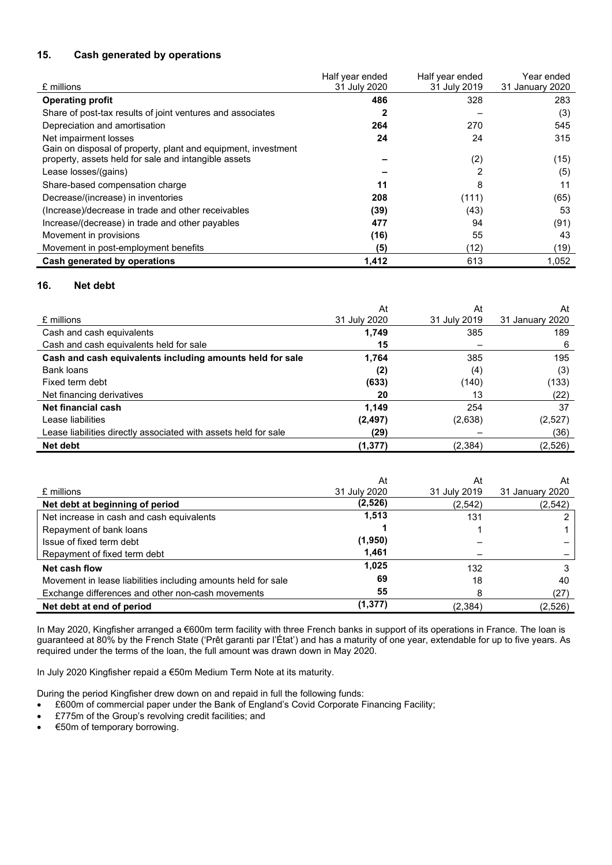# **15. Cash generated by operations**

|                                                               | Half year ended | Half year ended | Year ended      |
|---------------------------------------------------------------|-----------------|-----------------|-----------------|
| £ millions                                                    | 31 July 2020    | 31 July 2019    | 31 January 2020 |
| <b>Operating profit</b>                                       | 486             | 328             | 283             |
| Share of post-tax results of joint ventures and associates    | 2               |                 | (3)             |
| Depreciation and amortisation                                 | 264             | 270             | 545             |
| Net impairment losses                                         | 24              | 24              | 315             |
| Gain on disposal of property, plant and equipment, investment |                 |                 |                 |
| property, assets held for sale and intangible assets          |                 | (2)             | (15)            |
| Lease losses/(gains)                                          |                 |                 | (5)             |
| Share-based compensation charge                               | 11              | 8               | 11              |
| Decrease/(increase) in inventories                            | 208             | (111)           | (65)            |
| (Increase)/decrease in trade and other receivables            | (39)            | (43)            | 53              |
| Increase/(decrease) in trade and other payables               | 477             | 94              | (91)            |
| Movement in provisions                                        | (16)            | 55              | 43              |
| Movement in post-employment benefits                          | (5)             | (12)            | (19)            |
| Cash generated by operations                                  | 1,412           | 613             | 1.052           |

## **16. Net debt**

|                                                                 | At           | At           | At              |
|-----------------------------------------------------------------|--------------|--------------|-----------------|
| £ millions                                                      | 31 July 2020 | 31 July 2019 | 31 January 2020 |
| Cash and cash equivalents                                       | 1,749        | 385          | 189             |
| Cash and cash equivalents held for sale                         | 15           |              | 6               |
| Cash and cash equivalents including amounts held for sale       | 1,764        | 385          | 195             |
| Bank loans                                                      | (2)          | (4)          | (3)             |
| Fixed term debt                                                 | (633)        | (140)        | (133)           |
| Net financing derivatives                                       | 20           | 13           | (22)            |
| Net financial cash                                              | 1,149        | 254          | 37              |
| Lease liabilities                                               | (2, 497)     | (2,638)      | (2,527)         |
| Lease liabilities directly associated with assets held for sale | (29)         |              | (36)            |
| Net debt                                                        | (1, 377)     | (2,384)      | (2,526)         |

|                                                               | At           | At           | At              |
|---------------------------------------------------------------|--------------|--------------|-----------------|
| £ millions                                                    | 31 July 2020 | 31 July 2019 | 31 January 2020 |
| Net debt at beginning of period                               | (2,526)      | (2,542)      | (2,542)         |
| Net increase in cash and cash equivalents                     | 1,513        | 131          |                 |
| Repayment of bank loans                                       |              |              |                 |
| Issue of fixed term debt                                      | (1,950)      |              |                 |
| Repayment of fixed term debt                                  | 1,461        |              |                 |
| Net cash flow                                                 | 1,025        | 132          |                 |
| Movement in lease liabilities including amounts held for sale | 69           | 18           | 40              |
| Exchange differences and other non-cash movements             | 55           |              | (27)            |
| Net debt at end of period                                     | (1, 377)     | (2, 384)     | (2,526)         |

In May 2020, Kingfisher arranged a €600m term facility with three French banks in support of its operations in France. The loan is guaranteed at 80% by the French State ('Prêt garanti par l'État') and has a maturity of one year, extendable for up to five years. As required under the terms of the loan, the full amount was drawn down in May 2020.

In July 2020 Kingfisher repaid a €50m Medium Term Note at its maturity.

During the period Kingfisher drew down on and repaid in full the following funds:

- £600m of commercial paper under the Bank of England's Covid Corporate Financing Facility;
- £775m of the Group's revolving credit facilities; and
- €50m of temporary borrowing.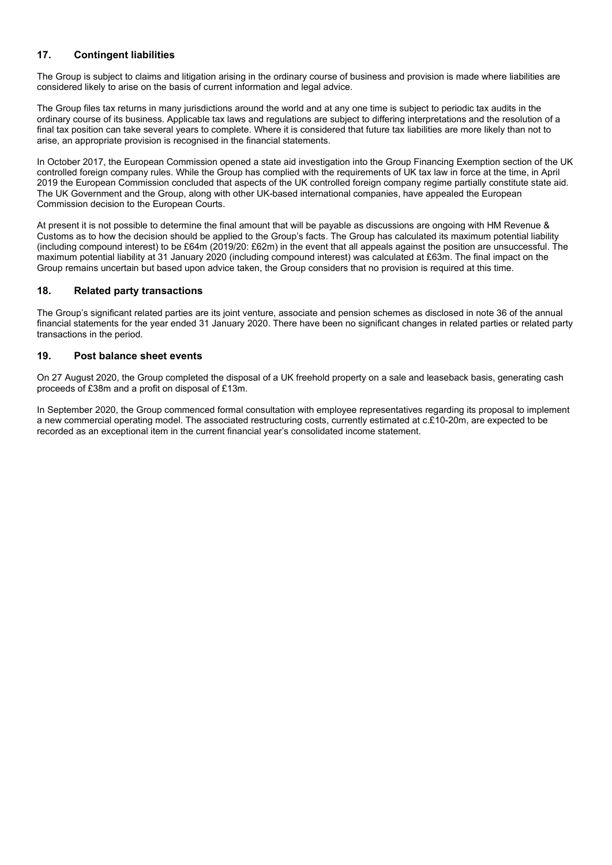# **17. Contingent liabilities**

The Group is subject to claims and litigation arising in the ordinary course of business and provision is made where liabilities are considered likely to arise on the basis of current information and legal advice.

The Group files tax returns in many jurisdictions around the world and at any one time is subject to periodic tax audits in the ordinary course of its business. Applicable tax laws and regulations are subject to differing interpretations and the resolution of a final tax position can take several years to complete. Where it is considered that future tax liabilities are more likely than not to arise, an appropriate provision is recognised in the financial statements.

In October 2017, the European Commission opened a state aid investigation into the Group Financing Exemption section of the UK controlled foreign company rules. While the Group has complied with the requirements of UK tax law in force at the time, in April 2019 the European Commission concluded that aspects of the UK controlled foreign company regime partially constitute state aid. The UK Government and the Group, along with other UK-based international companies, have appealed the European Commission decision to the European Courts.

At present it is not possible to determine the final amount that will be payable as discussions are ongoing with HM Revenue & Customs as to how the decision should be applied to the Group's facts. The Group has calculated its maximum potential liability (including compound interest) to be £64m (2019/20: £62m) in the event that all appeals against the position are unsuccessful. The maximum potential liability at 31 January 2020 (including compound interest) was calculated at £63m. The final impact on the Group remains uncertain but based upon advice taken, the Group considers that no provision is required at this time.

# **18. Related party transactions**

The Group's significant related parties are its joint venture, associate and pension schemes as disclosed in note 36 of the annual financial statements for the year ended 31 January 2020. There have been no significant changes in related parties or related party transactions in the period.

# **19. Post balance sheet events**

On 27 August 2020, the Group completed the disposal of a UK freehold property on a sale and leaseback basis, generating cash proceeds of £38m and a profit on disposal of £13m.

In September 2020, the Group commenced formal consultation with employee representatives regarding its proposal to implement a new commercial operating model. The associated restructuring costs, currently estimated at c.£10-20m, are expected to be recorded as an exceptional item in the current financial year's consolidated income statement.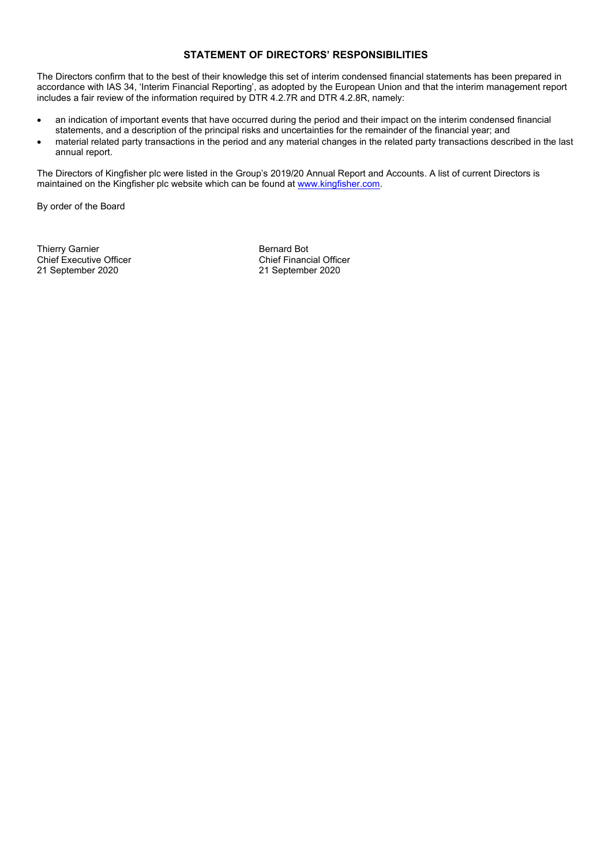## **STATEMENT OF DIRECTORS' RESPONSIBILITIES**

The Directors confirm that to the best of their knowledge this set of interim condensed financial statements has been prepared in accordance with IAS 34, 'Interim Financial Reporting', as adopted by the European Union and that the interim management report includes a fair review of the information required by DTR 4.2.7R and DTR 4.2.8R, namely:

- an indication of important events that have occurred during the period and their impact on the interim condensed financial statements, and a description of the principal risks and uncertainties for the remainder of the financial year; and
- material related party transactions in the period and any material changes in the related party transactions described in the last annual report.

The Directors of Kingfisher plc were listed in the Group's 2019/20 Annual Report and Accounts. A list of current Directors is maintained on the Kingfisher plc website which can be found a[t www.kingfisher.com.](http://www.kingfisher.com/)

By order of the Board

Thierry Garnier<br>
Chief Executive Officer<br>
Chief Financial Officer<br>
Chief Financial Officer Chief Executive Officer<br>
21 September 2020<br>
21 September 2020<br>
21 September 2020 21 September 2020